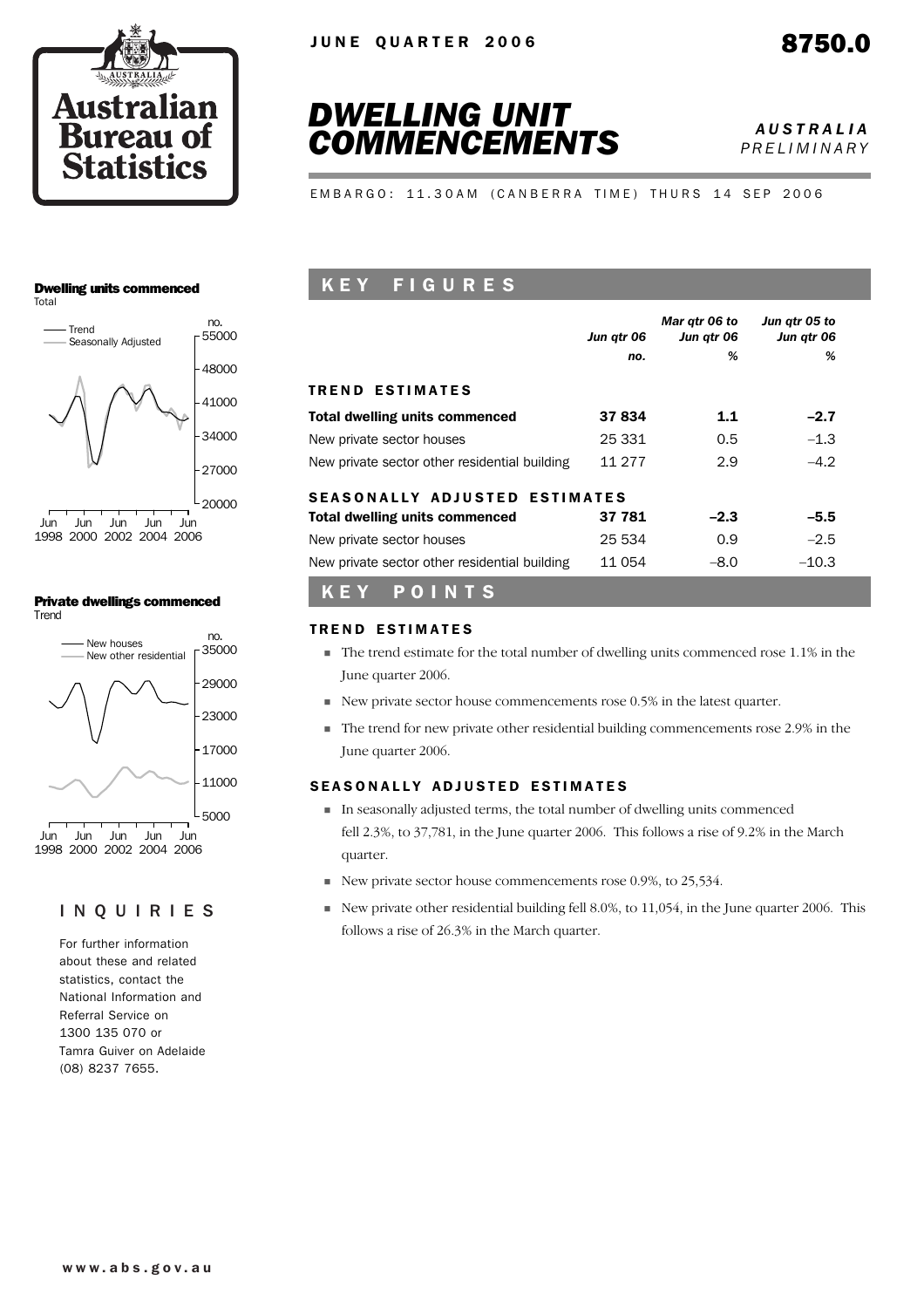



*PRELIMINARY*

EMBARGO: 11.30AM (CANBERRA TIME) THURS 14 SEP 2006

#### Dwelling units commenced Total



#### Private dwellings commenced Trend



#### INQUIRIES

For further information about these and related statistics, contact the National Information and Referral Service on 1300 135 070 or Tamra Guiver on Adelaide (08) 8237 7655.

## K E Y F I G U R E S

|                                               | Jun qtr 06 | Mar qtr 06 to<br>Jun qtr 06 | Jun atr 05 to<br>Jun qtr 06 |
|-----------------------------------------------|------------|-----------------------------|-----------------------------|
|                                               | no.        | %                           | %                           |
| <b>TREND ESTIMATES</b>                        |            |                             |                             |
| <b>Total dwelling units commenced</b>         | 37834      | 1.1                         | $-2.7$                      |
| New private sector houses                     | 25 331     | 0.5                         | $-1.3$                      |
| New private sector other residential building | 11 277     | 2.9                         | $-4.2$                      |
| <b>SEASONALLY ADJUSTED ESTIMATES</b>          |            |                             |                             |
| <b>Total dwelling units commenced</b>         | 37 781     | $-2.3$                      | $-5.5$                      |
| New private sector houses                     | 25 534     | 0.9                         | $-2.5$                      |
| New private sector other residential building | 11 054     | $-8.0$                      | $-10.3$                     |

#### K E Y P O I N T S

#### **TREND ESTIMATES**

- ! The trend estimate for the total number of dwelling units commenced rose 1.1% in the June quarter 2006.
- $\blacksquare$  New private sector house commencements rose 0.5% in the latest quarter.
- $\blacksquare$  The trend for new private other residential building commencements rose 2.9% in the June quarter 2006.

#### SEASONALLY ADJUSTED ESTIMATES

- ! In seasonally adjusted terms, the total number of dwelling units commenced fell 2.3%, to 37,781, in the June quarter 2006. This follows a rise of 9.2% in the March quarter.
- New private sector house commencements rose 0.9%, to 25,534.
- ! New private other residential building fell 8.0%, to 11,054, in the June quarter 2006. This follows a rise of 26.3% in the March quarter.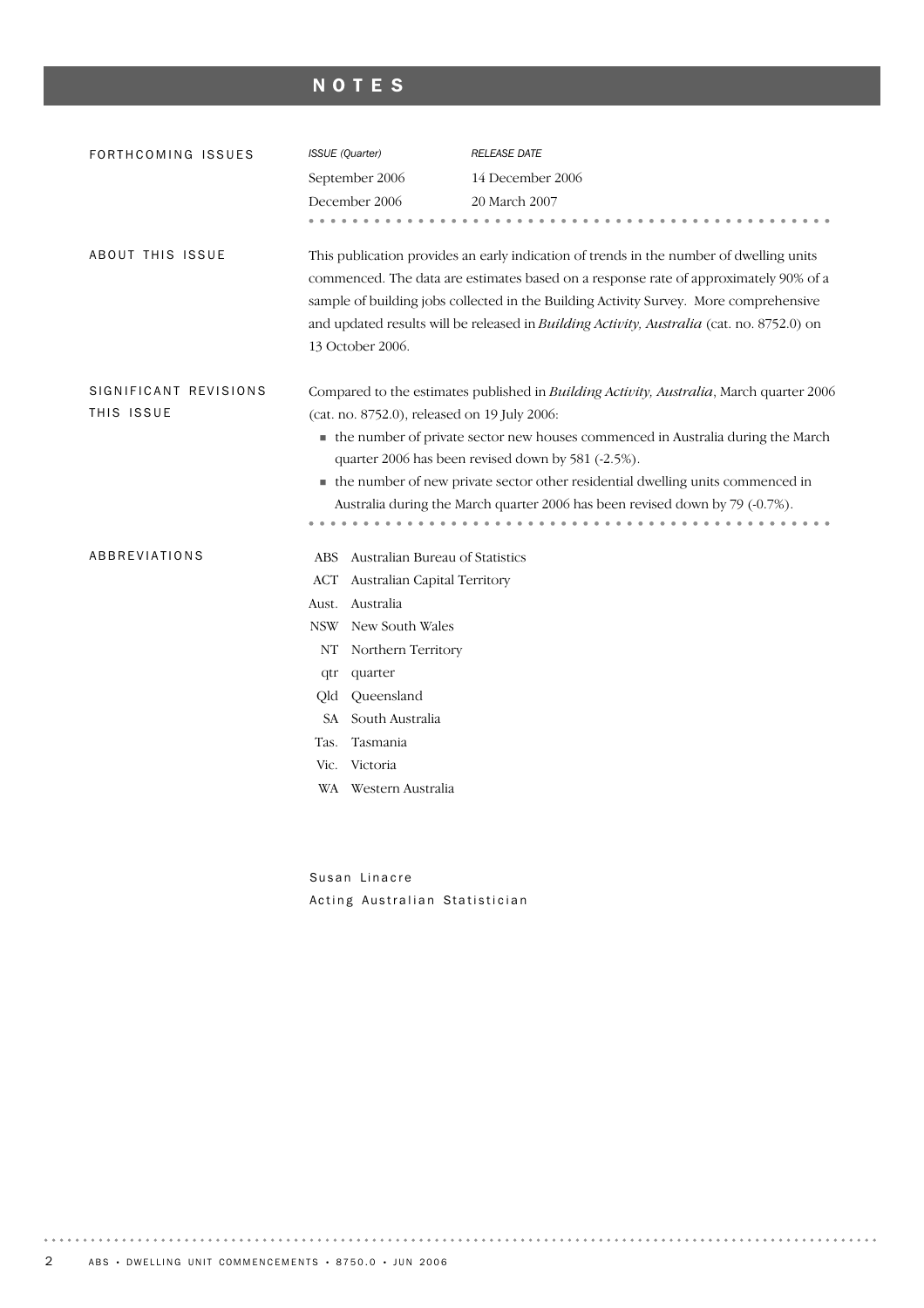## NOTES

| FORTHCOMING ISSUES      |                                                                                                                                                                                                                                                                                                                                                                                                                                                                                                                                                                                                                                                                                                                                                                                                                                                                                    |                                                                                                                                                                                                                                                 | <b>RELEASE DATE</b> |  |  |  |  |  |  |
|-------------------------|------------------------------------------------------------------------------------------------------------------------------------------------------------------------------------------------------------------------------------------------------------------------------------------------------------------------------------------------------------------------------------------------------------------------------------------------------------------------------------------------------------------------------------------------------------------------------------------------------------------------------------------------------------------------------------------------------------------------------------------------------------------------------------------------------------------------------------------------------------------------------------|-------------------------------------------------------------------------------------------------------------------------------------------------------------------------------------------------------------------------------------------------|---------------------|--|--|--|--|--|--|
|                         |                                                                                                                                                                                                                                                                                                                                                                                                                                                                                                                                                                                                                                                                                                                                                                                                                                                                                    | ISSUE (Quarter)<br>14 December 2006<br>September 2006<br>December 2006<br>20 March 2007<br>Australian Bureau of Statistics<br>Australian Capital Territory<br>Aust. Australia<br>New South Wales<br>Northern Territory<br>quarter<br>Queensland |                     |  |  |  |  |  |  |
|                         |                                                                                                                                                                                                                                                                                                                                                                                                                                                                                                                                                                                                                                                                                                                                                                                                                                                                                    |                                                                                                                                                                                                                                                 |                     |  |  |  |  |  |  |
|                         |                                                                                                                                                                                                                                                                                                                                                                                                                                                                                                                                                                                                                                                                                                                                                                                                                                                                                    |                                                                                                                                                                                                                                                 |                     |  |  |  |  |  |  |
| <b>ABOUT THIS ISSUE</b> | This publication provides an early indication of trends in the number of dwelling units<br>commenced. The data are estimates based on a response rate of approximately 90% of a<br>sample of building jobs collected in the Building Activity Survey. More comprehensive<br>and updated results will be released in <i>Building Activity</i> , <i>Australia</i> (cat. no. 8752.0) on<br>13 October 2006.<br>Compared to the estimates published in <i>Building Activity</i> , <i>Australia</i> , March quarter 2006<br>(cat. no. 8752.0), released on 19 July 2006:<br>• the number of private sector new houses commenced in Australia during the March<br>quarter 2006 has been revised down by 581 (-2.5%).<br>• the number of new private sector other residential dwelling units commenced in<br>Australia during the March quarter 2006 has been revised down by 79 (-0.7%). |                                                                                                                                                                                                                                                 |                     |  |  |  |  |  |  |
| SIGNIFICANT REVISIONS   |                                                                                                                                                                                                                                                                                                                                                                                                                                                                                                                                                                                                                                                                                                                                                                                                                                                                                    |                                                                                                                                                                                                                                                 |                     |  |  |  |  |  |  |
| THIS ISSUE              |                                                                                                                                                                                                                                                                                                                                                                                                                                                                                                                                                                                                                                                                                                                                                                                                                                                                                    |                                                                                                                                                                                                                                                 |                     |  |  |  |  |  |  |
|                         |                                                                                                                                                                                                                                                                                                                                                                                                                                                                                                                                                                                                                                                                                                                                                                                                                                                                                    |                                                                                                                                                                                                                                                 |                     |  |  |  |  |  |  |
|                         |                                                                                                                                                                                                                                                                                                                                                                                                                                                                                                                                                                                                                                                                                                                                                                                                                                                                                    |                                                                                                                                                                                                                                                 |                     |  |  |  |  |  |  |
|                         |                                                                                                                                                                                                                                                                                                                                                                                                                                                                                                                                                                                                                                                                                                                                                                                                                                                                                    |                                                                                                                                                                                                                                                 |                     |  |  |  |  |  |  |
|                         |                                                                                                                                                                                                                                                                                                                                                                                                                                                                                                                                                                                                                                                                                                                                                                                                                                                                                    |                                                                                                                                                                                                                                                 |                     |  |  |  |  |  |  |
| ABBREVIATIONS           | ABS                                                                                                                                                                                                                                                                                                                                                                                                                                                                                                                                                                                                                                                                                                                                                                                                                                                                                |                                                                                                                                                                                                                                                 |                     |  |  |  |  |  |  |
|                         | ACT                                                                                                                                                                                                                                                                                                                                                                                                                                                                                                                                                                                                                                                                                                                                                                                                                                                                                |                                                                                                                                                                                                                                                 |                     |  |  |  |  |  |  |
|                         |                                                                                                                                                                                                                                                                                                                                                                                                                                                                                                                                                                                                                                                                                                                                                                                                                                                                                    |                                                                                                                                                                                                                                                 |                     |  |  |  |  |  |  |
|                         | <b>NSW</b>                                                                                                                                                                                                                                                                                                                                                                                                                                                                                                                                                                                                                                                                                                                                                                                                                                                                         |                                                                                                                                                                                                                                                 |                     |  |  |  |  |  |  |
|                         | NT                                                                                                                                                                                                                                                                                                                                                                                                                                                                                                                                                                                                                                                                                                                                                                                                                                                                                 |                                                                                                                                                                                                                                                 |                     |  |  |  |  |  |  |
|                         | qtr                                                                                                                                                                                                                                                                                                                                                                                                                                                                                                                                                                                                                                                                                                                                                                                                                                                                                |                                                                                                                                                                                                                                                 |                     |  |  |  |  |  |  |
|                         | Old                                                                                                                                                                                                                                                                                                                                                                                                                                                                                                                                                                                                                                                                                                                                                                                                                                                                                |                                                                                                                                                                                                                                                 |                     |  |  |  |  |  |  |
|                         | SA                                                                                                                                                                                                                                                                                                                                                                                                                                                                                                                                                                                                                                                                                                                                                                                                                                                                                 | South Australia                                                                                                                                                                                                                                 |                     |  |  |  |  |  |  |
|                         | Tas.                                                                                                                                                                                                                                                                                                                                                                                                                                                                                                                                                                                                                                                                                                                                                                                                                                                                               | Tasmania                                                                                                                                                                                                                                        |                     |  |  |  |  |  |  |
|                         | Vic.                                                                                                                                                                                                                                                                                                                                                                                                                                                                                                                                                                                                                                                                                                                                                                                                                                                                               | Victoria                                                                                                                                                                                                                                        |                     |  |  |  |  |  |  |
|                         |                                                                                                                                                                                                                                                                                                                                                                                                                                                                                                                                                                                                                                                                                                                                                                                                                                                                                    | WA Western Australia                                                                                                                                                                                                                            |                     |  |  |  |  |  |  |
|                         |                                                                                                                                                                                                                                                                                                                                                                                                                                                                                                                                                                                                                                                                                                                                                                                                                                                                                    |                                                                                                                                                                                                                                                 |                     |  |  |  |  |  |  |
|                         |                                                                                                                                                                                                                                                                                                                                                                                                                                                                                                                                                                                                                                                                                                                                                                                                                                                                                    |                                                                                                                                                                                                                                                 |                     |  |  |  |  |  |  |

Susan Linacre Acting Australian Statistician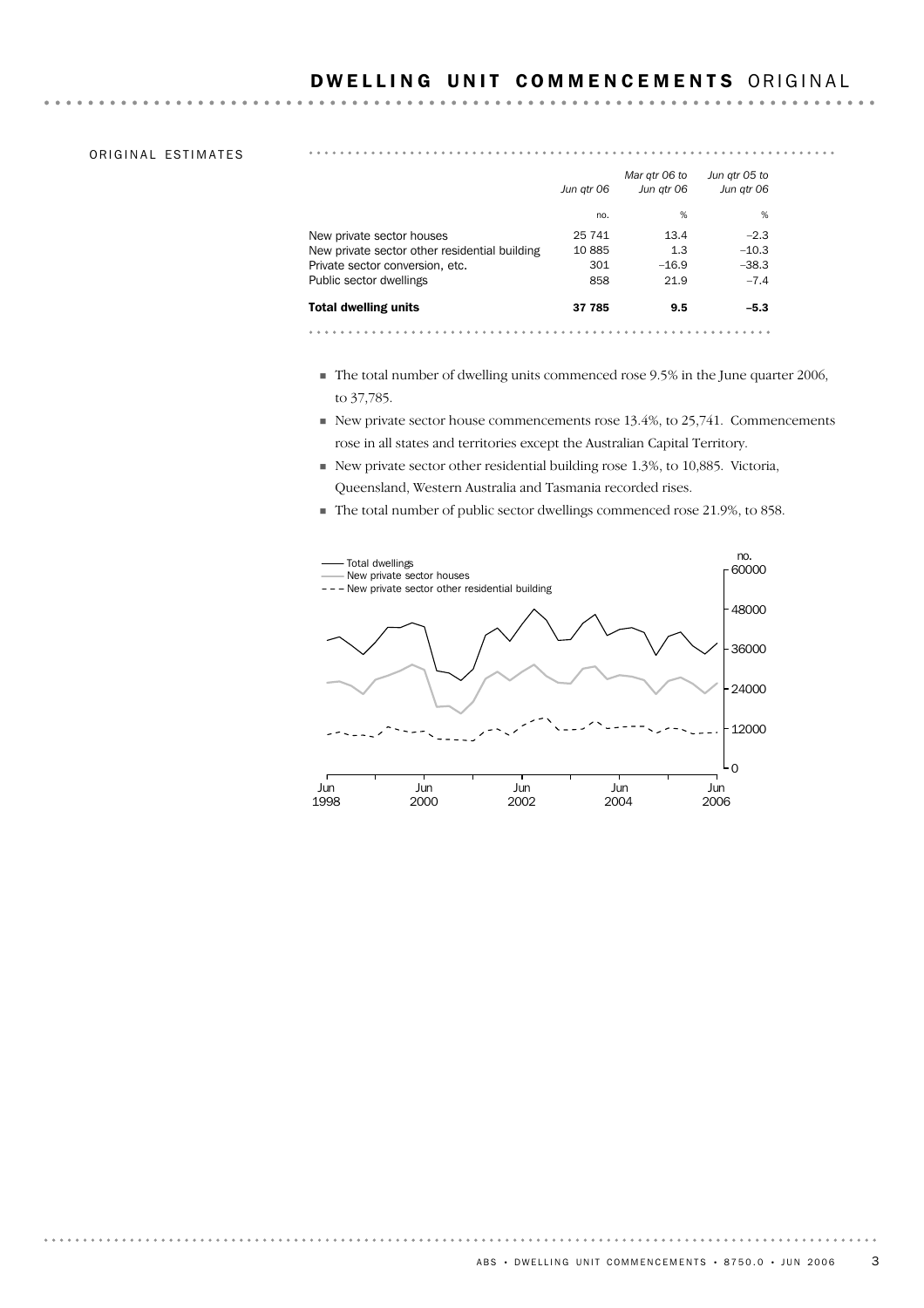#### DWELLING UNIT COMMENCEMENTS ORIGINAL

. . . . . .

#### ORIGINAL ESTIMATES

|                                               |            | Mar gtr 06 to | Jun gtr 05 to |  |
|-----------------------------------------------|------------|---------------|---------------|--|
|                                               | Jun gtr 06 | Jun gtr 06    | Jun gtr 06    |  |
|                                               | no.        | %             | %             |  |
| New private sector houses                     | 25 741     | 13.4          | $-2.3$        |  |
| New private sector other residential building | 10885      | 1.3           | $-10.3$       |  |
| Private sector conversion, etc.               | 301        | $-16.9$       | $-38.3$       |  |
| Public sector dwellings                       | 858        | 21.9          | $-7.4$        |  |
| <b>Total dwelling units</b>                   | 37 785     | 9.5           | -5.3          |  |
|                                               |            |               |               |  |

- ! The total number of dwelling units commenced rose 9.5% in the June quarter 2006, to 37,785.
- $\blacksquare$  New private sector house commencements rose 13.4%, to 25,741. Commencements rose in all states and territories except the Australian Capital Territory.
- ! New private sector other residential building rose 1.3%, to 10,885. Victoria, Queensland, Western Australia and Tasmania recorded rises.
- ! The total number of public sector dwellings commenced rose 21.9%, to 858.

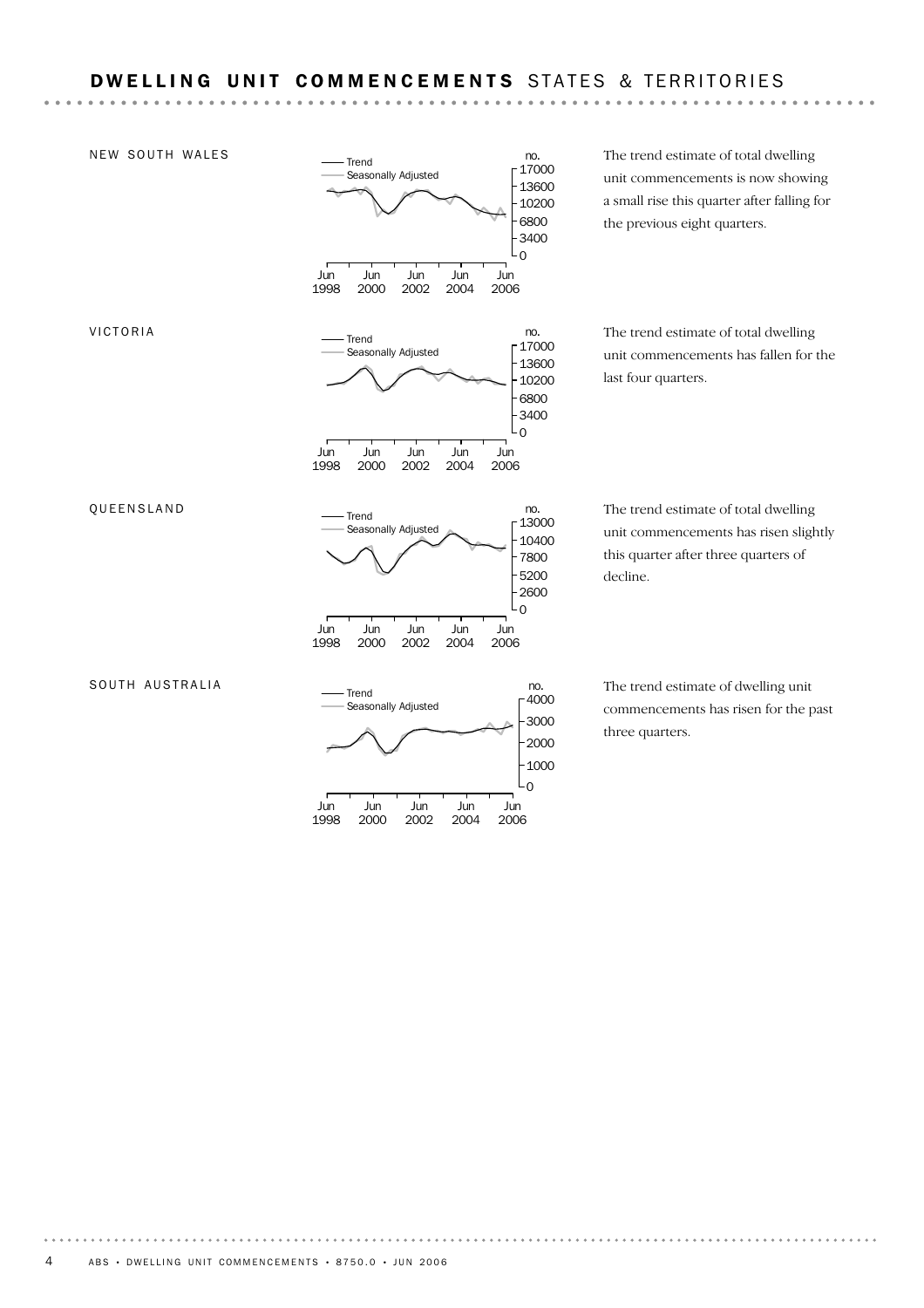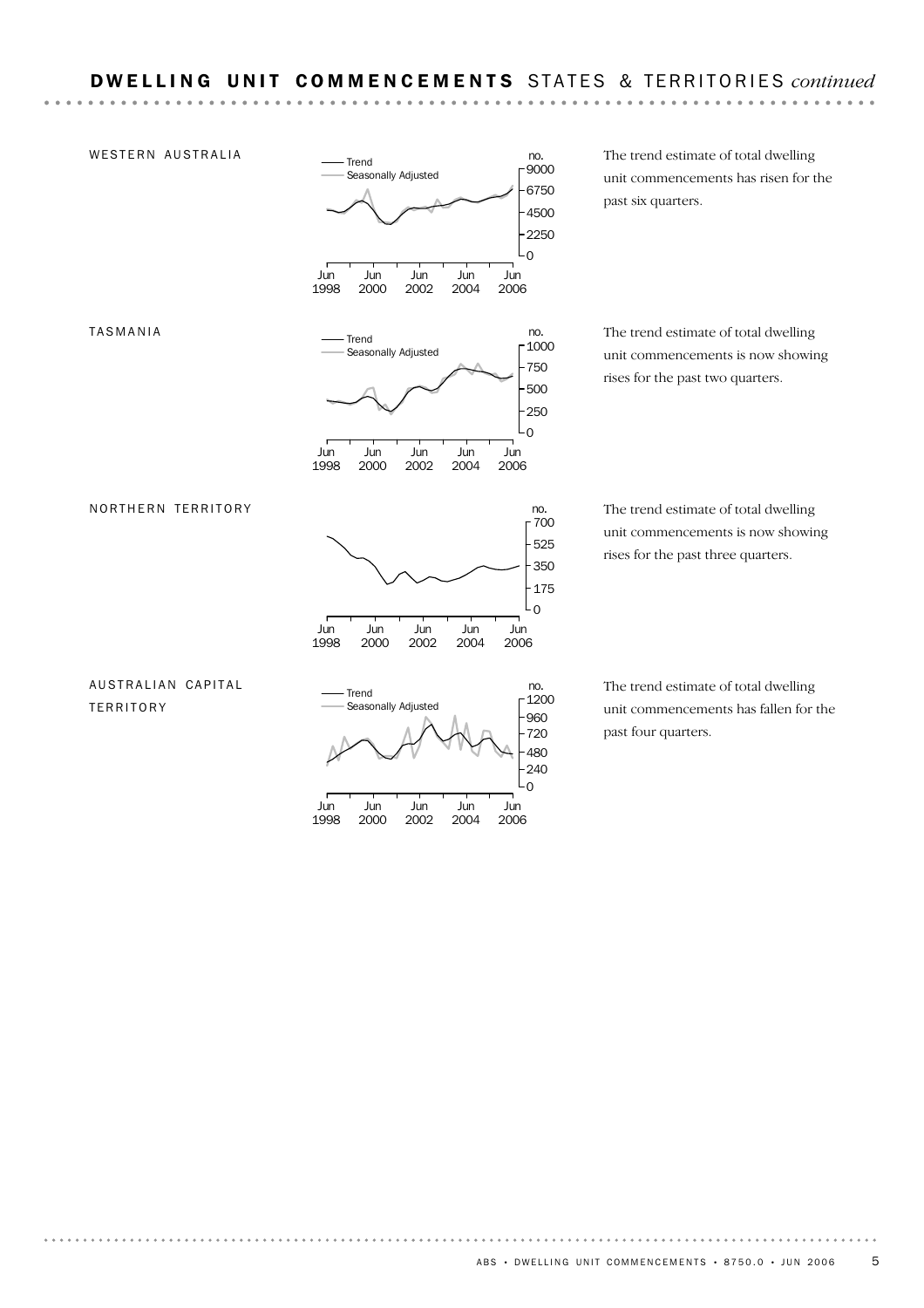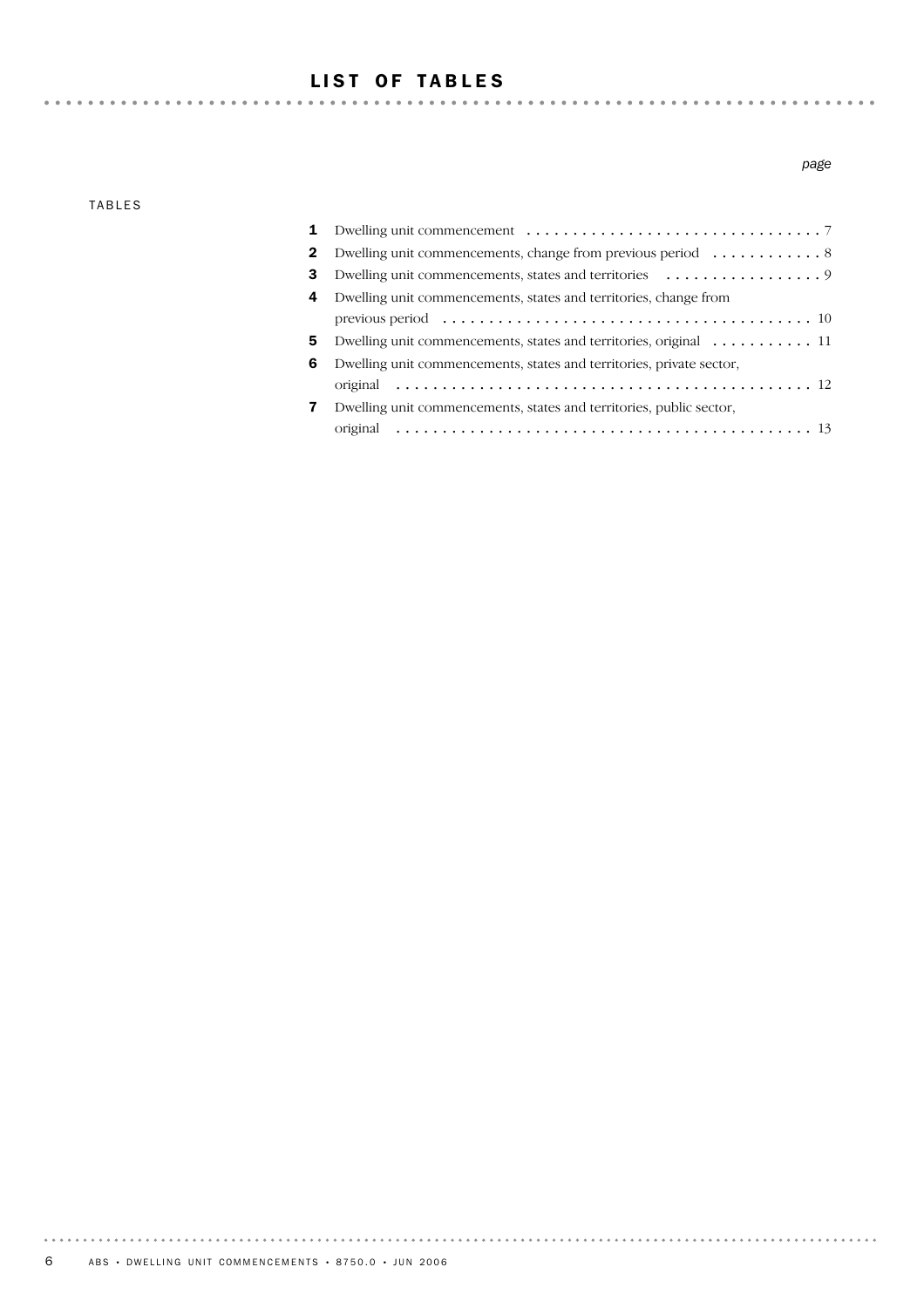## LIST OF TABLES

TABLES

#### *page*

| 1  |                                                                                         |
|----|-----------------------------------------------------------------------------------------|
| 2  |                                                                                         |
| 3  | Dwelling unit commencements, states and territories $\dots\dots\dots\dots\dots\dots$    |
| 4  | Dwelling unit commencements, states and territories, change from                        |
|    |                                                                                         |
| 5. | Dwelling unit commencements, states and territories, original $\dots \dots \dots \dots$ |
| 6  | Dwelling unit commencements, states and territories, private sector,                    |
|    |                                                                                         |
| 7  | Dwelling unit commencements, states and territories, public sector,                     |
|    |                                                                                         |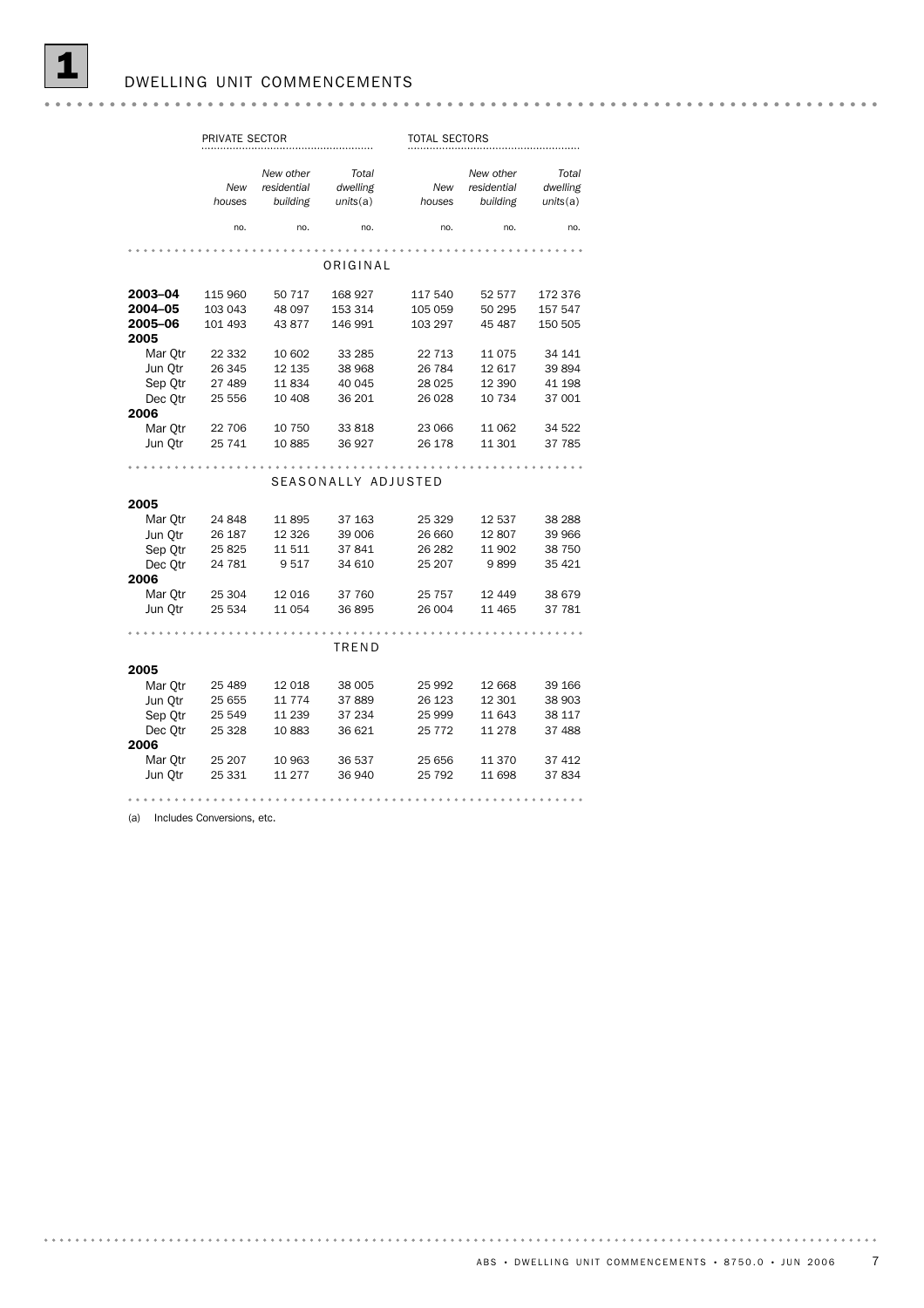|                                                  | PRIVATE SECTOR                       |                                        |                                      | <b>TOTAL SECTORS</b>                    |                                       |                                      |
|--------------------------------------------------|--------------------------------------|----------------------------------------|--------------------------------------|-----------------------------------------|---------------------------------------|--------------------------------------|
|                                                  | New<br>houses                        | New other<br>residential<br>building   | Total<br>dwelling<br>units(a)        | New<br>houses                           | New other<br>residential<br>building  | Total<br>dwelling<br>units(a)        |
|                                                  | no.                                  | no.                                    | no.                                  | no.                                     | no.                                   | no.                                  |
|                                                  |                                      |                                        | ORIGINAL                             |                                         |                                       |                                      |
| 2003–04<br>2004–05<br>2005–06<br>2005            | 115 960<br>103 043<br>101 493        | 50 717<br>48 097<br>43 877             | 168 927<br>153 314<br>146 991        | 117 540<br>105 059<br>103 297           | 52 577<br>50 295<br>45 487            | 172 376<br>157 547<br>150 505        |
| Mar Otr<br>Jun Otr<br>Sep Qtr<br>Dec Otr<br>2006 | 22 332<br>26 345<br>27 489<br>25 556 | 10 602<br>12 135<br>11834<br>10 408    | 33 285<br>38 968<br>40 045<br>36 201 | 22 713<br>26 784<br>28 0 25<br>26 0 28  | 11 0 75<br>12 617<br>12 390<br>10 734 | 34 141<br>39894<br>41 198<br>37 001  |
| Mar Otr<br>Jun Qtr                               | 22 706<br>25 741                     | 10 750<br>10885                        | 33 818<br>36 927                     | 23 066<br>26 178                        | 11 062<br>11 301                      | 34 522<br>37 785                     |
|                                                  |                                      |                                        | SEASONALLY ADJUSTED                  |                                         |                                       |                                      |
| 2005<br>Mar Qtr                                  | 24 848                               | 11 895                                 | 37 163                               | 25 329                                  | 12 537                                | 38 288                               |
| Jun Otr<br>Sep Qtr<br>Dec Otr                    | 26 187<br>25825<br>24 781            | 12 3 26<br>11 511<br>9517              | 39 006<br>37 841<br>34 610           | 26 660<br>26 28 2<br>25 207             | 12 807<br>11 902<br>9899              | 39 966<br>38 750<br>35 4 21          |
| 2006<br>Mar Otr<br>Jun Qtr                       | 25 304<br>25 534                     | 12 0 16<br>11 054                      | 37 760<br>36 895                     | 25 7 5 7<br>26 004                      | 12 449<br>11 465                      | 38 679<br>37 781                     |
|                                                  |                                      |                                        | TREND                                |                                         |                                       |                                      |
| 2005                                             |                                      |                                        |                                      |                                         |                                       |                                      |
| Mar Otr<br>Jun Qtr<br>Sep Otr<br>Dec Otr         | 25 489<br>25 655<br>25 549<br>25 328 | 12 018<br>11 7 7 4<br>11 239<br>10 883 | 38 005<br>37889<br>37 234<br>36 621  | 25 992<br>26 1 23<br>25 999<br>25 7 7 2 | 12 668<br>12 301<br>11 643<br>11 278  | 39 166<br>38 903<br>38 117<br>37 488 |
| 2006<br>Mar Otr<br>Jun Qtr                       | 25 207<br>25 331                     | 10 963<br>11 277                       | 36 537<br>36 940                     | 25 656<br>25 792                        | 11 370<br>11 698                      | 37 412<br>37834                      |
|                                                  |                                      |                                        |                                      |                                         |                                       |                                      |

(a) Includes Conversions, etc.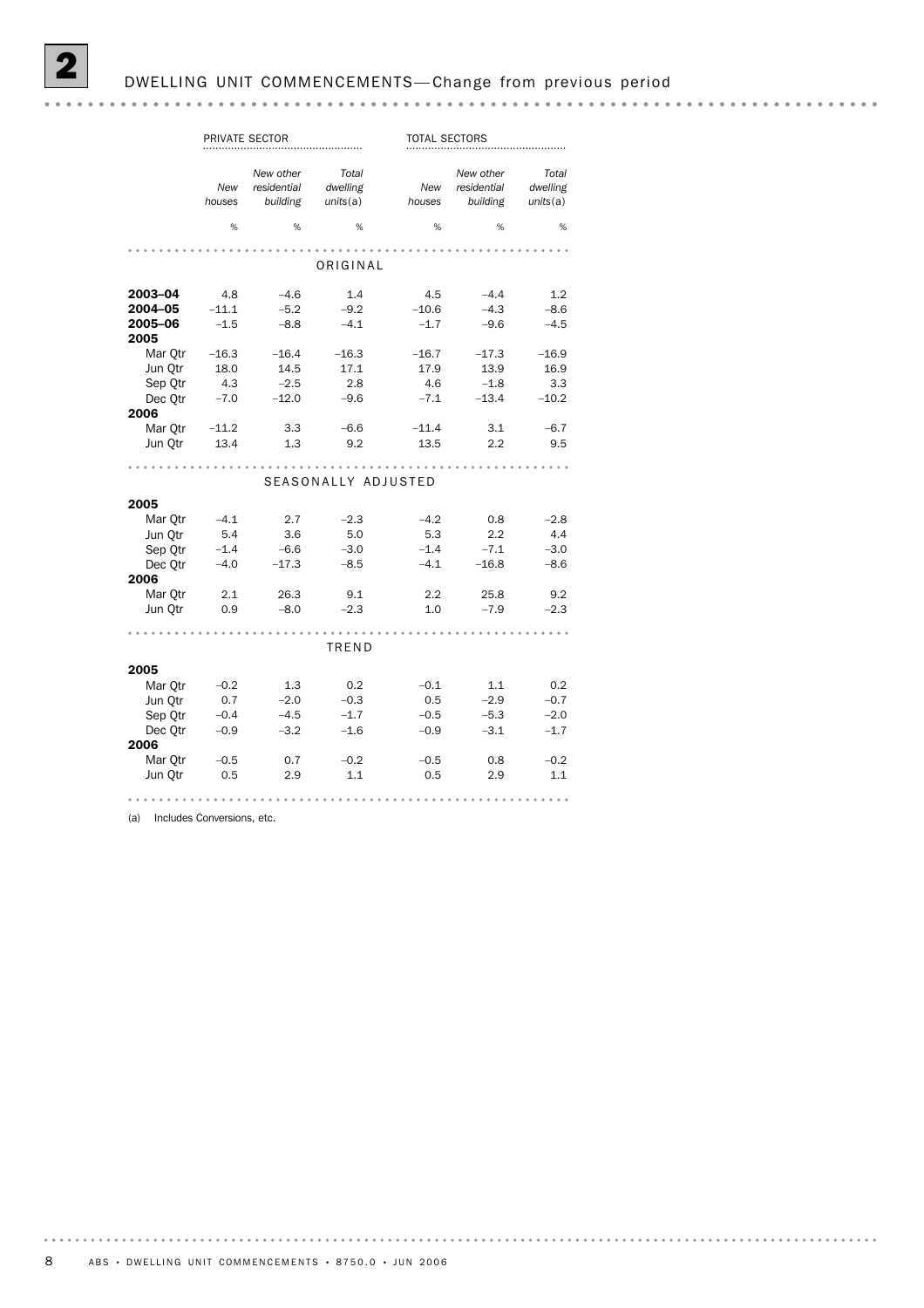|         |               | PRIVATE SECTOR                       |                               | <b>TOTAL SECTORS</b> |                                      |                               |
|---------|---------------|--------------------------------------|-------------------------------|----------------------|--------------------------------------|-------------------------------|
|         | New<br>houses | New other<br>residential<br>building | Total<br>dwelling<br>units(a) | New<br>houses        | New other<br>residential<br>building | Total<br>dwelling<br>units(a) |
|         | %             | %                                    | %                             | %                    | %                                    | %                             |
|         |               |                                      | ORIGINAL                      |                      |                                      |                               |
| 2003-04 | 4.8           | $-4.6$                               | 1.4                           | 4.5                  | $-4.4$                               | 1.2                           |
| 2004-05 | $-11.1$       | $-5.2$                               | $-9.2$                        | $-10.6$              | $-4.3$                               | $-8.6$                        |
| 2005-06 | $-1.5$        | $-8.8$                               | $-4.1$                        | $-1.7$               | $-9.6$                               | $-4.5$                        |
| 2005    |               |                                      |                               |                      |                                      |                               |
| Mar Qtr | $-16.3$       | $-16.4$                              | $-16.3$                       | $-16.7$              | $-17.3$                              | $-16.9$                       |
| Jun Qtr | 18.0          | 14.5                                 | 17.1                          | 17.9                 | 13.9                                 | 16.9                          |
| Sep Qtr | 4.3           | $-2.5$                               | 2.8                           | 4.6                  | $-1.8$                               | 3.3                           |
| Dec Otr | $-7.0$        | $-12.0$                              | $-9.6$                        | $-7.1$               | $-13.4$                              | $-10.2$                       |
| 2006    |               |                                      |                               |                      |                                      |                               |
| Mar Otr | $-11.2$       | 3.3                                  | $-6.6$                        | $-11.4$              | 3.1                                  | $-6.7$                        |
| Jun Otr | 13.4          | 1.3                                  | 9.2                           | 13.5                 | 2.2                                  | 9.5                           |
|         |               |                                      |                               |                      |                                      |                               |
|         |               |                                      | SEASONALLY ADJUSTED           |                      |                                      |                               |
| 2005    |               |                                      |                               |                      |                                      |                               |
| Mar Otr | $-4.1$        | 2.7                                  | $-2.3$                        | $-4.2$               | 0.8                                  | $-2.8$                        |
| Jun Qtr | 5.4           | 3.6                                  | 5.0                           | 5.3                  | 2.2                                  | 4.4                           |
| Sep Qtr | $-1.4$        | $-6.6$                               | $-3.0$                        | $-1.4$               | $-7.1$                               | $-3.0$                        |
| Dec Otr | $-4.0$        | $-17.3$                              | $-8.5$                        | $-4.1$               | $-16.8$                              | $-8.6$                        |

Jun Qtr 0.5 2.9 1.1 0.5 2.9 1.1 Mar Qtr –0.5 0.7 –0.2 –0.5 0.8 –0.2

Dec Qtr –0.9 –3.2 –1.6 –0.9 –3.1 –1.7 Sep Qtr –0.4 –4.5 –1.7 –0.5 –5.3 –2.0 Jun Qtr 0.7 –2.0 –0.3 0.5 –2.9 –0.7 Mar Qtr –0.2 1.3 0.2 –0.1 1.1 0.2

TREND

Jun Qtr 0.9 –8.0 –2.3 1.0 –7.9 –2.3 Mar Qtr 2.1 26.3 9.1 2.2 25.8 9.2

(a) Includes Conversions, etc.

2006

2005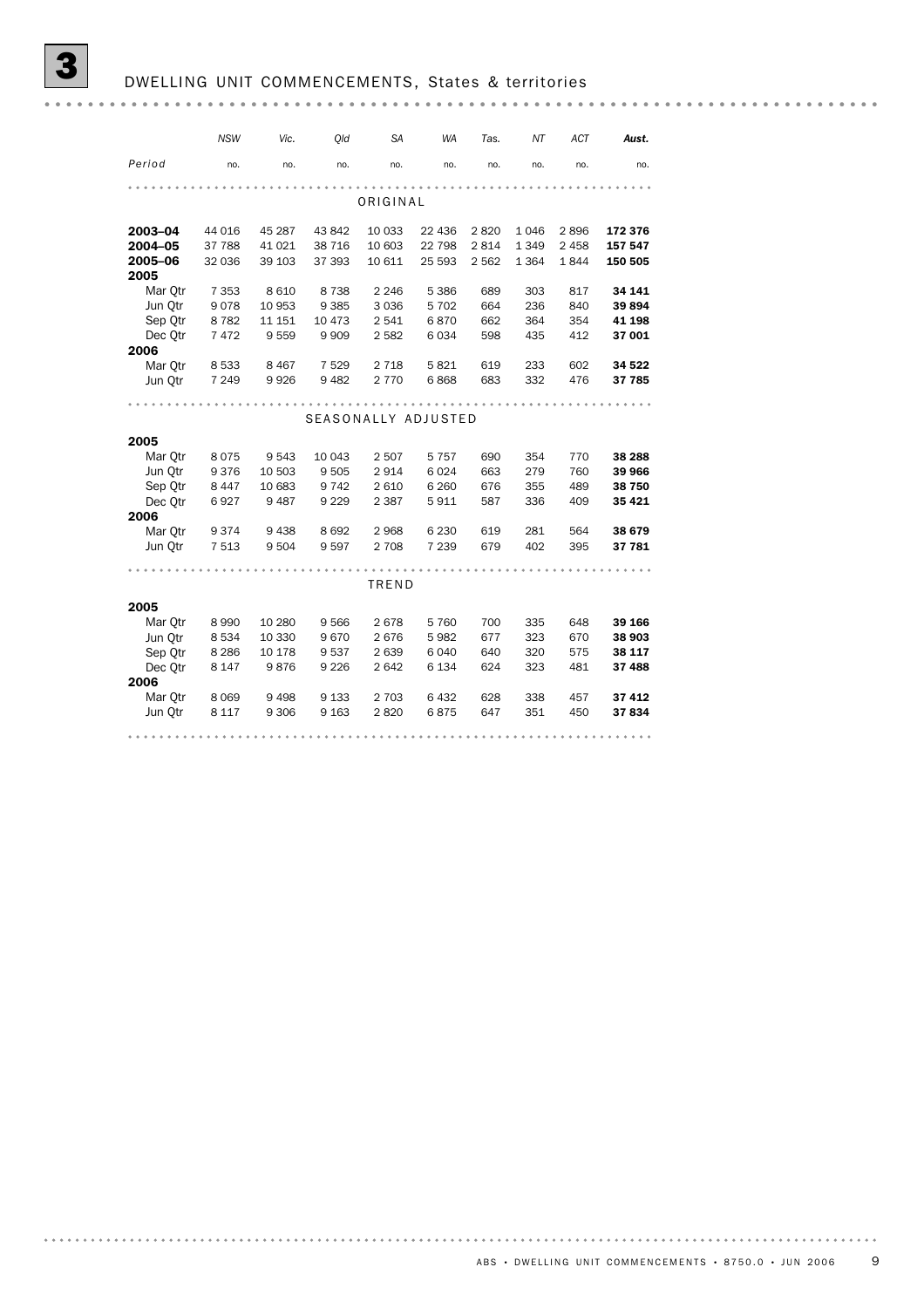|         | <b>NSW</b> | Vic.    | Old     | <b>SA</b>           | <b>WA</b> | Tas.    | ΝT      | <b>ACT</b> | Aust.   |
|---------|------------|---------|---------|---------------------|-----------|---------|---------|------------|---------|
| Period  | no.        | no.     | no.     | no.                 | no.       | no.     | no.     | no.        | no.     |
|         |            |         |         |                     |           |         |         |            |         |
|         |            |         |         | ORIGINAL            |           |         |         |            |         |
| 2003-04 | 44 016     | 45 287  | 43 842  | 10 033              | 22 436    | 2820    | 1046    | 2896       | 172 376 |
| 2004-05 | 37 788     | 41 0 21 | 38 716  | 10 603              | 22 798    | 2814    | 1 3 4 9 | 2 4 5 8    | 157 547 |
| 2005-06 | 32 036     | 39 103  | 37 393  | 10 611              | 25 593    | 2 5 6 2 | 1 3 6 4 | 1844       | 150 505 |
| 2005    |            |         |         |                     |           |         |         |            |         |
| Mar Qtr | 7 3 5 3    | 8 6 1 0 | 8738    | 2 2 4 6             | 5 3 8 6   | 689     | 303     | 817        | 34 141  |
| Jun Otr | 9078       | 10 953  | 9 3 8 5 | 3 0 3 6             | 5 7 0 2   | 664     | 236     | 840        | 39 894  |
| Sep Qtr | 8782       | 11 151  | 10 473  | 2541                | 6870      | 662     | 364     | 354        | 41 198  |
| Dec Qtr | 7472       | 9559    | 9909    | 2 5 8 2             | 6 0 3 4   | 598     | 435     | 412        | 37 001  |
| 2006    |            |         |         |                     |           |         |         |            |         |
| Mar Qtr | 8 5 3 3    | 8 4 6 7 | 7 5 2 9 | 2 7 1 8             | 5821      | 619     | 233     | 602        | 34 522  |
| Jun Otr | 7 2 4 9    | 9926    | 9482    | 2 7 7 0             | 6868      | 683     | 332     | 476        | 37 785  |
|         |            |         |         |                     |           |         |         |            |         |
|         |            |         |         |                     |           |         |         |            |         |
|         |            |         |         | SEASONALLY ADJUSTED |           |         |         |            |         |
| 2005    |            |         |         |                     |           |         |         |            |         |
| Mar Qtr | 8075       | 9543    | 10 043  | 2 5 0 7             | 5757      | 690     | 354     | 770        | 38 288  |
| Jun Qtr | 9376       | 10 503  | 9505    | 2914                | 6 0 2 4   | 663     | 279     | 760        | 39 966  |
| Sep Otr | 8 4 4 7    | 10 683  | 9742    | 2 6 1 0             | 6 2 6 0   | 676     | 355     | 489        | 38 750  |
| Dec Otr | 6927       | 9487    | 9 2 2 9 | 2 3 8 7             | 5911      | 587     | 336     | 409        | 35 4 21 |
| 2006    |            |         |         |                     |           |         |         |            |         |
| Mar Otr | 9374       | 9438    | 8692    | 2968                | 6 2 3 0   | 619     | 281     | 564        | 38 679  |
| Jun Qtr | 7 5 1 3    | 9504    | 9597    | 2 708               | 7 2 3 9   | 679     | 402     | 395        | 37 781  |
|         |            |         |         |                     |           |         |         |            |         |
|         |            |         |         |                     |           |         |         |            |         |
|         |            |         |         | TREND               |           |         |         |            |         |
| 2005    |            |         |         |                     |           |         |         |            |         |
| Mar Qtr | 8990       | 10 280  | 9566    | 2678                | 5760      | 700     | 335     | 648        | 39 166  |
| Jun Otr | 8 5 3 4    | 10 330  | 9670    | 2676                | 5982      | 677     | 323     | 670        | 38 903  |
| Sep Otr | 8 2 8 6    | 10 178  | 9537    | 2 6 3 9             | 6 0 4 0   | 640     | 320     | 575        | 38 117  |
| Dec Qtr | 8 1 4 7    | 9876    | 9 2 2 6 | 2642                | 6 1 3 4   | 624     | 323     | 481        | 37488   |
| 2006    |            |         |         |                     |           |         |         |            |         |
| Mar Otr | 8 0 6 9    | 9498    | 9 1 3 3 | 2 703               | 6 4 3 2   | 628     | 338     | 457        | 37 412  |
| Jun Otr | 8 1 1 7    | 9 3 0 6 | 9 1 6 3 | 2820                | 6875      | 647     | 351     | 450        | 37834   |
|         |            |         |         |                     |           |         |         |            |         |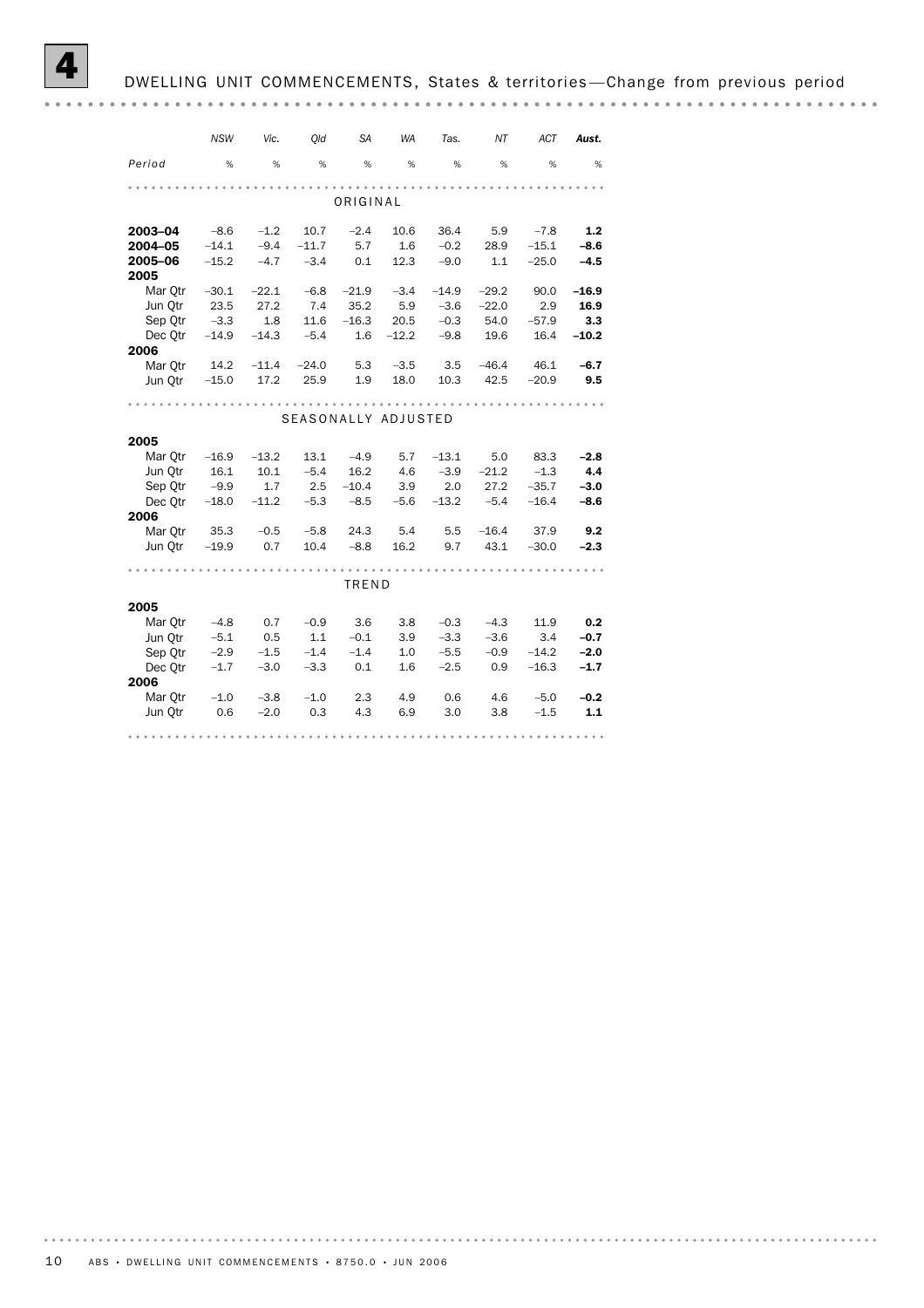## DWELLING UNIT COMMENCEMENTS, States & territories-Change from previous period

|                 | <b>NSW</b> | Vic.    | Qld                 | <b>SA</b> | <b>WA</b> | Tas.    | ΝT      | ACT     | Aust.   |
|-----------------|------------|---------|---------------------|-----------|-----------|---------|---------|---------|---------|
| Period          | %          | %       | %                   | %         | %         | %       | %       | %       | %       |
|                 |            |         |                     |           |           |         |         |         |         |
|                 |            |         |                     | ORIGINAL  |           |         |         |         |         |
| 2003-04         | $-8.6$     | $-1.2$  | 10.7                | $-2.4$    | 10.6      | 36.4    | 5.9     | $-7.8$  | 1.2     |
| 2004-05         | $-14.1$    | $-9.4$  | $-11.7$             | 5.7       | 1.6       | $-0.2$  | 28.9    | $-15.1$ | $-8.6$  |
| 2005-06<br>2005 | $-15.2$    | $-4.7$  | $-3.4$              | 0.1       | 12.3      | $-9.0$  | 1.1     | $-25.0$ | $-4.5$  |
| Mar Otr         | $-30.1$    | $-22.1$ | $-6.8$              | $-21.9$   | $-3.4$    | $-14.9$ | $-29.2$ | 90.0    | $-16.9$ |
| Jun Otr         | 23.5       | 27.2    | 7.4                 | 35.2      | 5.9       | $-3.6$  | $-22.0$ | 2.9     | 16.9    |
| Sep Qtr         | $-3.3$     | 1.8     | 11.6                | $-16.3$   | 20.5      | $-0.3$  | 54.0    | $-57.9$ | 3.3     |
| Dec Otr<br>2006 | $-14.9$    | $-14.3$ | $-5.4$              | 1.6       | $-12.2$   | $-9.8$  | 19.6    | 16.4    | $-10.2$ |
| Mar Otr         | 14.2       | $-11.4$ | $-24.0$             | 5.3       | $-3.5$    | 3.5     | $-46.4$ | 46.1    | $-6.7$  |
| Jun Otr         | $-15.0$    | 17.2    | 25.9                | 1.9       | 18.0      | 10.3    | 42.5    | $-20.9$ | 9.5     |
|                 |            |         |                     |           |           |         |         |         |         |
|                 |            |         | SEASONALLY ADJUSTED |           |           |         |         |         |         |
| 2005            |            |         |                     |           |           |         |         |         |         |
| Mar Otr         | $-16.9$    | $-13.2$ | 13.1                | $-4.9$    | 5.7       | $-13.1$ | 5.0     | 83.3    | $-2.8$  |
| Jun Qtr         | 16.1       | 10.1    | $-5.4$              | 16.2      | 4.6       | $-3.9$  | $-21.2$ | $-1.3$  | 4.4     |
| Sep Qtr         | $-9.9$     | 1.7     | 2.5                 | $-10.4$   | 3.9       | 2.0     | 27.2    | $-35.7$ | $-3.0$  |
| Dec Otr         | $-18.0$    | $-11.2$ | $-5.3$              | $-8.5$    | $-5.6$    | $-13.2$ | $-5.4$  | $-16.4$ | $-8.6$  |
| 2006            |            |         |                     |           |           |         |         |         |         |
| Mar Otr         | 35.3       | $-0.5$  | $-5.8$              | 24.3      | 5.4       | 5.5     | $-16.4$ | 37.9    | 9.2     |
| Jun Otr         | $-19.9$    | 0.7     | 10.4                | $-8.8$    | 16.2      | 9.7     | 43.1    | $-30.0$ | $-2.3$  |
|                 |            |         |                     |           |           |         |         |         |         |
|                 |            |         |                     | TREND     |           |         |         |         |         |
| 2005            |            |         |                     |           |           |         |         |         |         |
| Mar Otr         | $-4.8$     | 0.7     | $-0.9$              | 3.6       | 3.8       | $-0.3$  | $-4.3$  | 11.9    | 0.2     |
| Jun Otr         | $-5.1$     | 0.5     | 1.1                 | $-0.1$    | 3.9       | $-3.3$  | $-3.6$  | 3.4     | $-0.7$  |
| Sep Otr         | $-2.9$     | $-1.5$  | $-1.4$              | $-1.4$    | 1.0       | $-5.5$  | $-0.9$  | $-14.2$ | $-2.0$  |
| Dec Otr         | $-1.7$     | $-3.0$  | $-3.3$              | 0.1       | 1.6       | $-2.5$  | 0.9     | $-16.3$ | $-1.7$  |
| 2006            |            |         |                     |           |           |         |         |         |         |
| Mar Otr         | $-1.0$     | $-3.8$  | $-1.0$              | 2.3       | 4.9       | 0.6     | 4.6     | $-5.0$  | $-0.2$  |
| Jun Qtr         | 0.6        | $-2.0$  | 0.3                 | 4.3       | 6.9       | 3.0     | 3.8     | $-1.5$  | $1.1$   |
|                 |            |         |                     |           |           |         |         |         |         |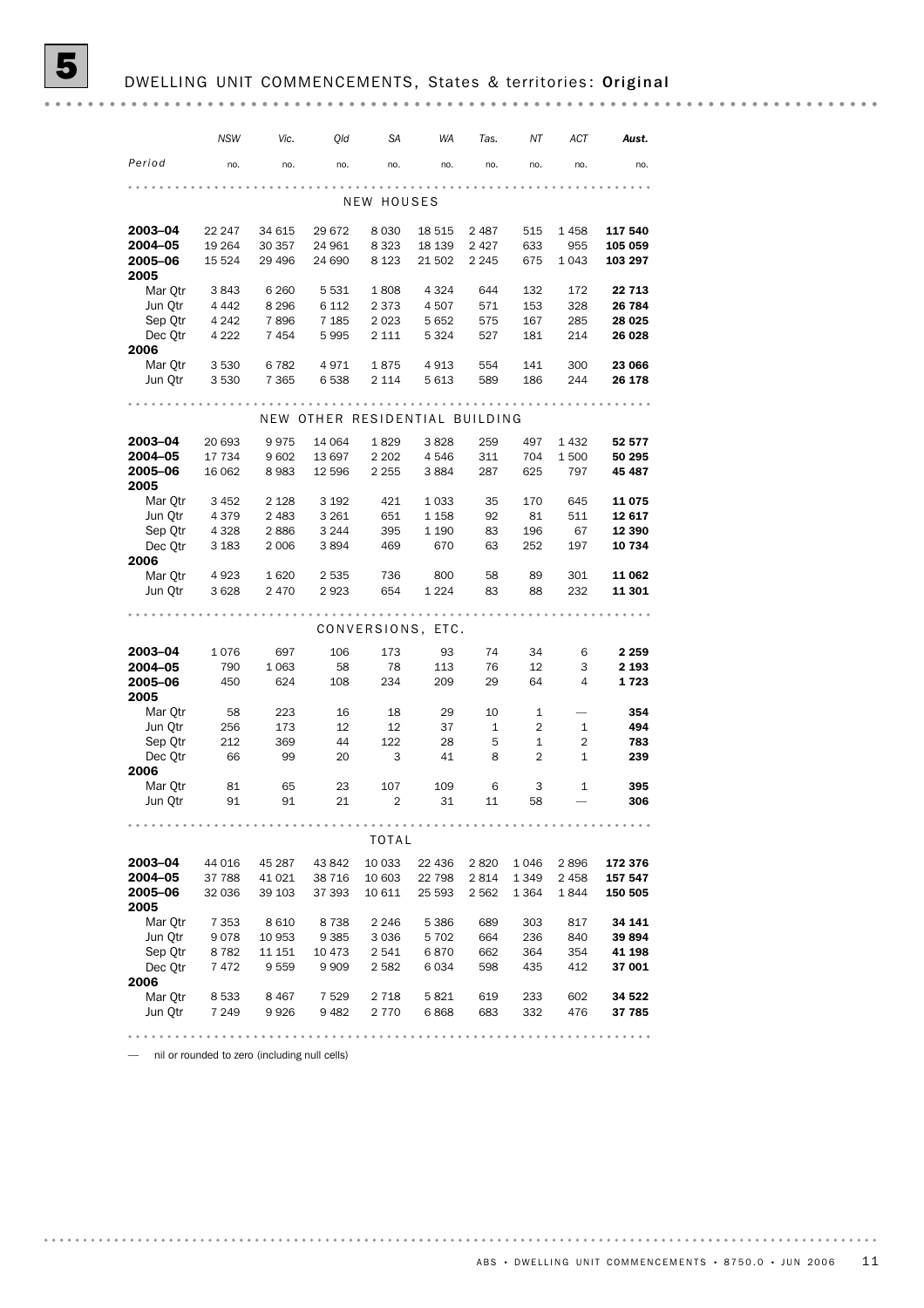|                 | <b>NSW</b> | Vic.     | Qld                            | SА                | WA      | Tas.         | ΝT           | ACT     | Aust.   |
|-----------------|------------|----------|--------------------------------|-------------------|---------|--------------|--------------|---------|---------|
| Period          | no.        | no.      | no.                            | no.               | no.     | no.          | no.          | no.     | no.     |
|                 |            |          |                                |                   |         |              |              |         |         |
|                 |            |          |                                | <b>NEW HOUSES</b> |         |              |              |         |         |
| 2003–04         | 22 247     | 34 615   | 29 672                         | 8 0 3 0           | 18 515  | 2 4 8 7      | 515          | 1458    | 117 540 |
| 2004–05         | 19 264     | 30 357   | 24 961                         | 8 3 2 3           | 18 139  | 2 4 2 7      | 633          | 955     | 105 059 |
| 2005–06         | 15 5 24    | 29 4 9 6 | 24 690                         | 8 1 2 3           | 21 502  | 2 2 4 5      | 675          | 1 0 4 3 | 103 297 |
| 2005            |            |          |                                |                   |         |              |              |         |         |
| Mar Otr         | 3843       | 6 2 6 0  | 5 5 3 1                        | 1808              | 4 3 2 4 | 644          | 132          | 172     | 22 713  |
| Jun Qtr         | 4 4 4 2    | 8 2 9 6  | 6 1 1 2                        | 2 3 7 3           | 4507    | 571          | 153          | 328     | 26 784  |
| Sep Otr         | 4 2 4 2    | 7896     | 7 1 8 5                        | 2023              | 5 6 5 2 | 575          | 167          | 285     | 28 0 25 |
| Dec Qtr<br>2006 | 4 2 2 2    | 7454     | 5995                           | 2 1 1 1           | 5 3 2 4 | 527          | 181          | 214     | 26 028  |
| Mar Otr         | 3 5 3 0    | 6782     | 4971                           | 1875              | 4913    | 554          | 141          | 300     | 23 066  |
| Jun Qtr         | 3 5 3 0    | 7 3 6 5  | 6 5 3 8                        | 2 1 1 4           | 5613    | 589          | 186          | 244     | 26 178  |
|                 |            |          |                                |                   |         |              |              |         |         |
|                 |            |          | NEW OTHER RESIDENTIAL BUILDING |                   |         |              |              |         |         |
| 2003–04         | 20 693     | 9975     | 14 064                         | 1829              | 3828    | 259          | 497          | 1 4 3 2 | 52 577  |
| 2004–05         | 17 734     | 9602     | 13 697                         | 2 2 0 2           | 4546    | 311          | 704          | 1500    | 50 295  |
| 2005-06         | 16 062     | 8983     | 12 596                         | 2 2 5 5           | 3884    | 287          | 625          | 797     | 45 487  |
| 2005            |            |          |                                |                   |         |              |              |         |         |
| Mar Qtr         | 3 4 5 2    | 2 1 2 8  | 3 1 9 2                        | 421               | 1 0 3 3 | 35           | 170          | 645     | 11 075  |
| Jun Qtr         | 4 3 7 9    | 2 4 8 3  | 3 2 6 1                        | 651               | 1 1 5 8 | 92           | 81           | 511     | 12 617  |
| Sep Qtr         | 4 3 2 8    | 2886     | 3 2 4 4                        | 395               | 1 1 9 0 | 83           | 196          | 67      | 12 390  |
| Dec Qtr         | 3 1 8 3    | 2 0 0 6  | 3894                           | 469               | 670     | 63           | 252          | 197     | 10 734  |
| 2006            |            |          |                                |                   |         |              |              |         |         |
| Mar Qtr         | 4923       | 1620     | 2 5 3 5                        | 736               | 800     | 58           | 89           | 301     | 11 062  |
| Jun Qtr         | 3628       | 2 4 7 0  | 2923                           | 654               | 1 2 2 4 | 83           | 88           | 232     | 11 301  |
|                 |            |          |                                |                   |         |              |              |         |         |
|                 |            |          |                                | CONVERSIONS, ETC. |         |              |              |         |         |
| 2003–04         | 1076       | 697      | 106                            | 173               | 93      | 74           | 34           | 6       | 2 2 5 9 |
| 2004-05         | 790        | 1 0 6 3  | 58                             | 78                | 113     | 76           | 12           | 3       | 2 1 9 3 |
| 2005-06<br>2005 | 450        | 624      | 108                            | 234               | 209     | 29           | 64           | 4       | 1723    |
| Mar Qtr         | 58         | 223      | 16                             | 18                | 29      | 10           | 1            |         | 354     |
| Jun Qtr         | 256        | 173      | 12                             | 12                | 37      | $\mathbf{1}$ | 2            | 1       | 494     |
| Sep Qtr         | 212        | 369      | 44                             | 122               | 28      | 5            | $\mathbf{1}$ | 2       | 783     |
| Dec Qtr<br>2006 | 66         | 99       | 20                             | З                 | 41      | 8            | 2            | 1       | 239     |
| Mar Qtr         | 81         | 65       | 23                             | 107               | 109     | 6            | 3            | 1       | 395     |
| Jun Qtr         | 91         | 91       | 21                             | $\overline{2}$    | 31      | 11           | 58           |         | 306     |
|                 |            |          |                                |                   |         |              |              |         |         |
|                 |            |          |                                | TOTAL             |         |              |              |         |         |
| 2003-04         | 44 016     | 45 287   | 43 842                         | 10 033            | 22 436  | 2820         | 1 0 4 6      | 2896    | 172 376 |
| 2004-05         | 37 788     | 41 0 21  | 38 7 16                        | 10 603            | 22 798  | 2 8 1 4      | 1 3 4 9      | 2 4 5 8 | 157 547 |
| 2005-06         | 32 036     | 39 103   | 37 393                         | 10 611            | 25 593  | 2 5 6 2      | 1 3 6 4      | 1844    | 150 505 |
| 2005            |            |          |                                |                   |         |              |              |         |         |
| Mar Otr         | 7 3 5 3    | 8610     | 8738                           | 2 2 4 6           | 5 3 8 6 | 689          | 303          | 817     | 34 141  |
| Jun Qtr         | 9078       | 10 953   | 9 3 8 5                        | 3 0 3 6           | 5 7 0 2 | 664          | 236          | 840     | 39 894  |
| Sep Qtr         | 8782       | 11 151   | 10 473                         | 2541              | 6870    | 662          | 364          | 354     | 41 198  |
| Dec Qtr         | 7472       | 9559     | 9 9 0 9                        | 2582              | 6034    | 598          | 435          | 412     | 37 001  |
| 2006            |            |          |                                |                   |         |              |              |         |         |
| Mar Qtr         | 8 5 3 3    | 8467     | 7 5 2 9                        | 2 7 1 8           | 5821    | 619          | 233          | 602     | 34 522  |
| Jun Qtr         | 7 2 4 9    | 9926     | 9482                           | 2 7 7 0           | 6868    | 683          | 332          | 476     | 37 785  |
|                 |            |          |                                |                   |         |              |              |         |         |

— nil or rounded to zero (including null cells)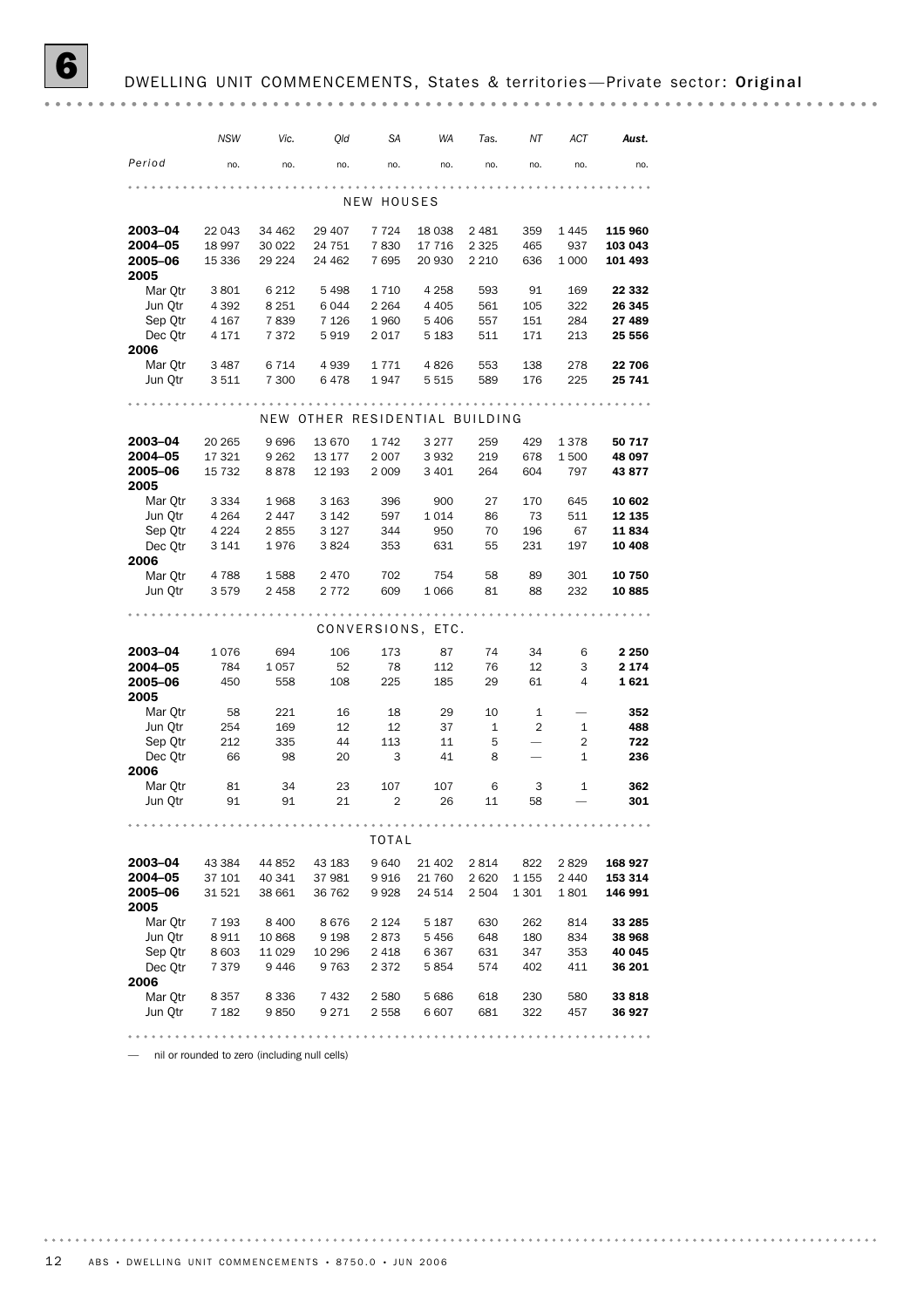|                 | NSW     | Vic.    | Qld                            | SА           | WA                | Tas.    | ΝT           | ACT          | Aust.   |
|-----------------|---------|---------|--------------------------------|--------------|-------------------|---------|--------------|--------------|---------|
| Period          | no.     | no.     | no.                            | no.          | no.               | no.     | no.          | no.          | no.     |
|                 |         |         |                                |              |                   |         |              |              |         |
|                 |         |         |                                | NEW HOUSES   |                   |         |              |              |         |
| 2003-04         | 22 043  | 34 462  | 29 407                         | 7 7 2 4      | 18 0 38           | 2 4 8 1 | 359          | 1 4 4 5      | 115 960 |
| 2004-05         | 18 997  | 30 0 22 | 24 751                         | 7830         | 17 716            | 2 3 2 5 | 465          | 937          | 103 043 |
| 2005–06         | 15 336  | 29 224  | 24 4 62                        | 7695         | 20 930            | 2 2 1 0 | 636          | 1 0 0 0      | 101 493 |
| 2005            |         |         |                                |              |                   |         |              |              |         |
| Mar Qtr         | 3801    | 6 2 1 2 | 5 4 9 8                        | 1 7 1 0      | 4 2 5 8           | 593     | 91           | 169          | 22 332  |
| Jun Qtr         | 4 3 9 2 | 8 2 5 1 | 6044                           | 2 2 6 4      | 4 4 0 5           | 561     | 105          | 322          | 26 345  |
| Sep Qtr         | 4 1 6 7 | 7839    | 7 1 2 6                        | 1960         | 5 4 0 6           | 557     | 151          | 284          | 27 489  |
| Dec Qtr         | 4 1 7 1 | 7 372   | 5919                           | 2 017        | 5 1 8 3           | 511     | 171          | 213          | 25 556  |
| 2006            |         |         |                                |              |                   |         |              |              |         |
| Mar Otr         | 3 4 8 7 | 6 714   | 4939                           | 1771         | 4826              | 553     | 138          | 278          | 22 706  |
| Jun Qtr         | 3511    | 7 300   | 6478                           | 1947         | 5 5 1 5           | 589     | 176          | 225          | 25 741  |
|                 |         |         |                                |              |                   |         |              |              |         |
|                 |         |         | NEW OTHER RESIDENTIAL BUILDING |              |                   |         |              |              |         |
| 2003-04         | 20 265  | 9696    | 13 670                         | 1742         | 3 2 7 7           | 259     | 429          | 1378         | 50 717  |
| 2004-05         | 17 321  | 9 2 6 2 | 13 177                         | 2 0 0 7      | 3932              | 219     | 678          | 1500         | 48 097  |
| 2005-06<br>2005 | 15 732  | 8878    | 12 193                         | 2 0 0 9      | 3 4 0 1           | 264     | 604          | 797          | 43877   |
| Mar Qtr         | 3 3 3 4 | 1968    | 3 1 6 3                        | 396          | 900               | 27      | 170          | 645          | 10 602  |
| Jun Qtr         | 4 2 6 4 | 2 4 4 7 | 3 1 4 2                        | 597          | 1014              | 86      | 73           | 511          | 12 135  |
| Sep Qtr         | 4 2 2 4 | 2855    | 3 1 2 7                        | 344          | 950               | 70      | 196          | 67           | 11834   |
| Dec Qtr         | 3 141   | 1976    | 3824                           | 353          | 631               | 55      | 231          | 197          | 10 408  |
| 2006            |         |         |                                |              |                   |         |              |              |         |
| Mar Qtr         | 4 7 8 8 | 1588    | 2 4 7 0                        | 702          | 754               | 58      | 89           | 301          | 10 750  |
| Jun Qtr         | 3579    | 2 4 5 8 | 2 772                          | 609          | 1 0 6 6           | 81      | 88           | 232          | 10885   |
|                 |         |         |                                |              |                   |         |              |              |         |
|                 |         |         |                                |              | CONVERSIONS, ETC. |         |              |              |         |
| 2003-04         | 1076    | 694     | 106                            | 173          | 87                | 74      | 34           | 6            | 2 2 5 0 |
| 2004-05         | 784     | 1 057   | 52                             | 78           | 112               | 76      | 12           | 3            | 2 1 7 4 |
| 2005-06<br>2005 | 450     | 558     | 108                            | 225          | 185               | 29      | 61           | 4            | 1 621   |
| Mar Qtr         | 58      | 221     | 16                             | 18           | 29                | 10      | $\mathbf{1}$ |              | 352     |
| Jun Qtr         | 254     | 169     | 12                             | 12           | 37                | 1       | 2            | $\mathbf{1}$ | 488     |
| Sep Qtr         | 212     | 335     | 44                             | 113          | 11                | 5       |              | 2            | 722     |
| Dec Otr         | 66      | 98      | 20                             | 3            | 41                | 8       |              | $\mathbf{1}$ | 236     |
| 2006            |         |         |                                |              |                   |         |              |              |         |
| Mar Qtr         | 81      | 34      | 23                             | 107          | 107               | 6       | 3            | $\mathbf{1}$ | 362     |
| Jun Otr         | 91      | 91      | 21                             | 2            | 26                | 11      | 58           |              | 301     |
|                 |         |         |                                | <b>TOTAL</b> |                   |         |              |              |         |
|                 |         |         |                                |              |                   |         |              |              |         |
| 2003–04         | 43 384  | 44 852  | 43 183                         | 9 6 4 0      | 21 402            | 2814    | 822          | 2829         | 168 927 |
| 2004-05         | 37 101  | 40 341  | 37 981                         | 9916         | 21 760            | 2 6 2 0 | 1 1 5 5      | 2 440        | 153 314 |
| 2005–06         | 31 521  | 38 661  | 36 762                         | 9928         | 24 514            | 2 5 0 4 | 1 3 0 1      | 1801         | 146 991 |
| 2005            |         |         |                                |              |                   |         |              |              |         |
| Mar Qtr         | 7 193   | 8 4 0 0 | 8676                           | 2 1 2 4      | 5 1 8 7           | 630     | 262          | 814          | 33 285  |
| Jun Qtr         | 8 911   | 10 868  | 9 1 9 8                        | 2873         | 5456              | 648     | 180          | 834          | 38 968  |
| Sep Qtr         | 8 603   | 11 029  | 10 296                         | 2 4 1 8      | 6 3 6 7           | 631     | 347          | 353          | 40 045  |
| Dec Qtr         | 7 3 7 9 | 9 4 4 6 | 9 7 6 3                        | 2 3 7 2      | 5854              | 574     | 402          | 411          | 36 201  |
| 2006            |         |         |                                |              |                   |         |              |              |         |
| Mar Qtr         | 8 3 5 7 | 8 3 3 6 | 7 432                          | 2 5 8 0      | 5 6 8 6           | 618     | 230          | 580          | 33 818  |
| Jun Qtr         | 7 1 8 2 | 9850    |                                | 9 271 2 558  | 6 607             | 681     | 322          | 457          | 36 927  |
|                 |         |         |                                |              |                   |         |              |              |         |

— nil or rounded to zero (including null cells)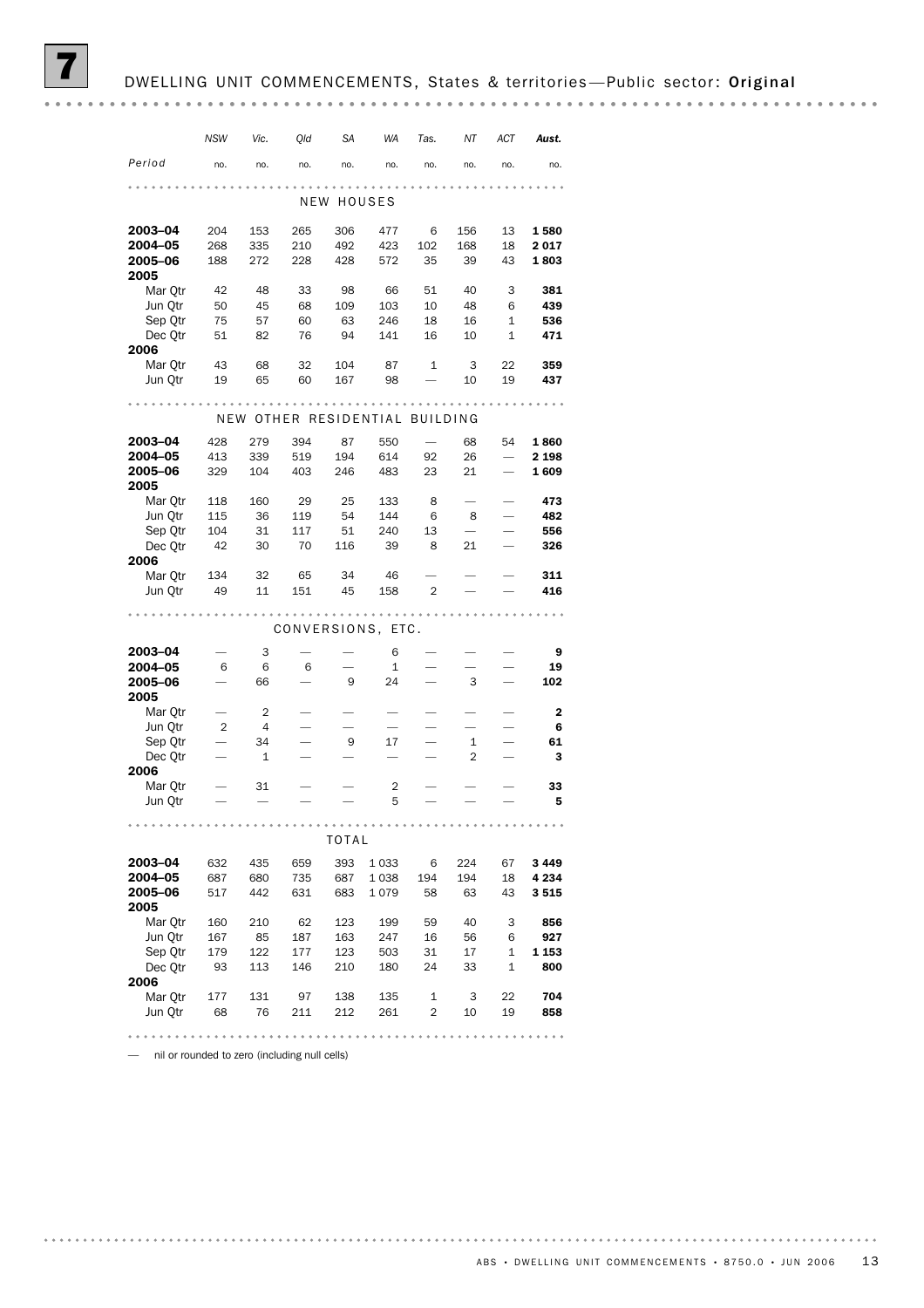## DWELLING UNIT COMMENCEMENTS, States & territories-Public sector: Original

|                    | <b>NSW</b>               | Vic.       | Qld        | SА         | WA                         | Tas.           | ΝT           | ACT          | Aust.              |
|--------------------|--------------------------|------------|------------|------------|----------------------------|----------------|--------------|--------------|--------------------|
| Period             | no.                      | no.        | no.        | no.        | no.                        | no.            | no.          | no.          | no.                |
|                    |                          |            |            | NEW HOUSES |                            |                |              |              |                    |
|                    |                          |            |            |            |                            |                |              |              |                    |
| 2003-04            | 204                      | 153        | 265        | 306        | 477                        | 6              | 156          | 13           | 1580               |
| 2004-05<br>2005–06 | 268<br>188               | 335        | 210<br>228 | 492<br>428 | 423                        | 102<br>35      | 168<br>39    | 18<br>43     | 2017<br>1803       |
| 2005               |                          | 272        |            |            | 572                        |                |              |              |                    |
| Mar Qtr            | 42                       | 48         | 33         | 98         | 66                         | 51             | 40           | 3            | 381                |
| Jun Qtr            | 50                       | 45         | 68         | 109        | 103                        | 10             | 48           | 6            | 439                |
| Sep Qtr            | 75                       | 57         | 60         | 63         | 246                        | 18             | 16           | 1            | 536                |
| Dec Otr            | 51                       | 82         | 76         | 94         | 141                        | 16             | 10           | $\mathbf{1}$ | 471                |
| 2006               |                          |            |            |            |                            |                |              |              |                    |
| Mar Qtr            | 43                       | 68         | 32         | 104        | 87                         | 1              | 3            | 22           | 359                |
| Jun Qtr            | 19                       | 65         | 60         | 167        | 98                         |                | 10           | 19           | 437                |
|                    |                          |            |            |            |                            |                |              |              |                    |
|                    | NEW                      |            |            |            | OTHER RESIDENTIAL BUILDING |                |              |              |                    |
| 2003-04            | 428                      | 279        | 394        | 87         | 550                        |                | 68           | 54           | 1860               |
| 2004–05            | 413                      | 339        | 519        | 194        | 614                        | 92             | 26           |              | 2 1 9 8            |
| 2005–06<br>2005    | 329                      | 104        | 403        | 246        | 483                        | 23             | 21           |              | 1609               |
| Mar Qtr            | 118                      | 160        | 29         | 25         | 133                        | 8              |              |              | 473                |
| Jun Qtr            | 115                      | 36         | 119        | 54         | 144                        | 6              | 8            |              | 482                |
| Sep Qtr            | 104                      | 31         | 117        | 51         | 240                        | 13             |              |              | 556                |
| Dec Otr            | 42                       | 30         | 70         | 116        | 39                         | 8              | 21           |              | 326                |
| 2006               |                          |            |            |            |                            |                |              |              |                    |
| Mar Qtr            | 134                      | 32         | 65         | 34         | 46                         |                |              |              | 311                |
| Jun Qtr            | 49                       | 11         | 151        | 45         | 158                        | 2              |              |              | 416                |
|                    |                          |            |            |            |                            |                |              |              |                    |
|                    |                          |            |            |            | CONVERSIONS, ETC.          |                |              |              |                    |
| 2003-04            |                          | 3          |            |            | 6                          |                |              |              | 9                  |
| 2004-05            | 6                        | 6          | 6          |            | $\mathbf{1}$               |                |              |              | 19                 |
| 2005-06<br>2005    | $\overline{\phantom{0}}$ | 66         |            | 9          | 24                         |                | 3            |              | 102                |
| Mar Qtr            |                          | 2          |            |            |                            |                |              |              | 2                  |
| Jun Qtr            | $\overline{2}$           | 4          |            |            |                            |                |              |              | 6                  |
| Sep Qtr            |                          | 34         |            | 9          | 17                         |                | $\mathbf{1}$ |              | 61                 |
| Dec Qtr            |                          | 1          |            |            |                            |                | 2            |              | з                  |
| 2006               |                          |            |            |            |                            |                |              |              |                    |
| Mar Qtr            |                          | 31         |            |            | 2                          |                |              |              | 33                 |
| Jun Qtr            |                          |            |            |            | 5                          |                |              |              | 5                  |
| 0.0.0              | 0.0.0.0.                 | 0.0.0.0.0. |            | TOTAL      |                            |                |              |              |                    |
|                    |                          |            |            |            | 1033                       |                |              |              |                    |
| 2003-04<br>2004-05 | 632<br>687               | 435<br>680 | 659<br>735 | 393<br>687 | 1038                       | 6<br>194       | 224<br>194   | 67<br>18     | 3 4 4 9<br>4 2 3 4 |
| 2005-06            | 517                      | 442        | 631        | 683        | 1079                       | 58             | 63           | 43           | 3515               |
| 2005               |                          |            |            |            |                            |                |              |              |                    |
| Mar Qtr            | 160                      | 210        | 62         | 123        | 199                        | 59             | 40           | 3            | 856                |
| Jun Qtr            | 167                      | 85         | 187        | 163        | 247                        | 16             | 56           | 6            | 927                |
| Sep Qtr            | 179                      | 122        | 177        | 123        | 503                        | 31             | 17           | $\mathbf{1}$ | 1 1 5 3            |
| Dec Otr            | 93                       | 113        | 146        | 210        | 180                        | 24             | 33           | 1            | 800                |
| 2006               |                          |            |            |            |                            |                |              |              |                    |
| Mar Qtr            | 177                      | 131        | 97         | 138        | 135                        | 1              | 3            | 22           | 704                |
| Jun Qtr            | 68                       | 76         | 211        | 212        | 261                        | $\overline{2}$ | 10           | 19           | 858                |
|                    |                          |            |            |            |                            |                |              |              |                    |

— nil or rounded to zero (including null cells)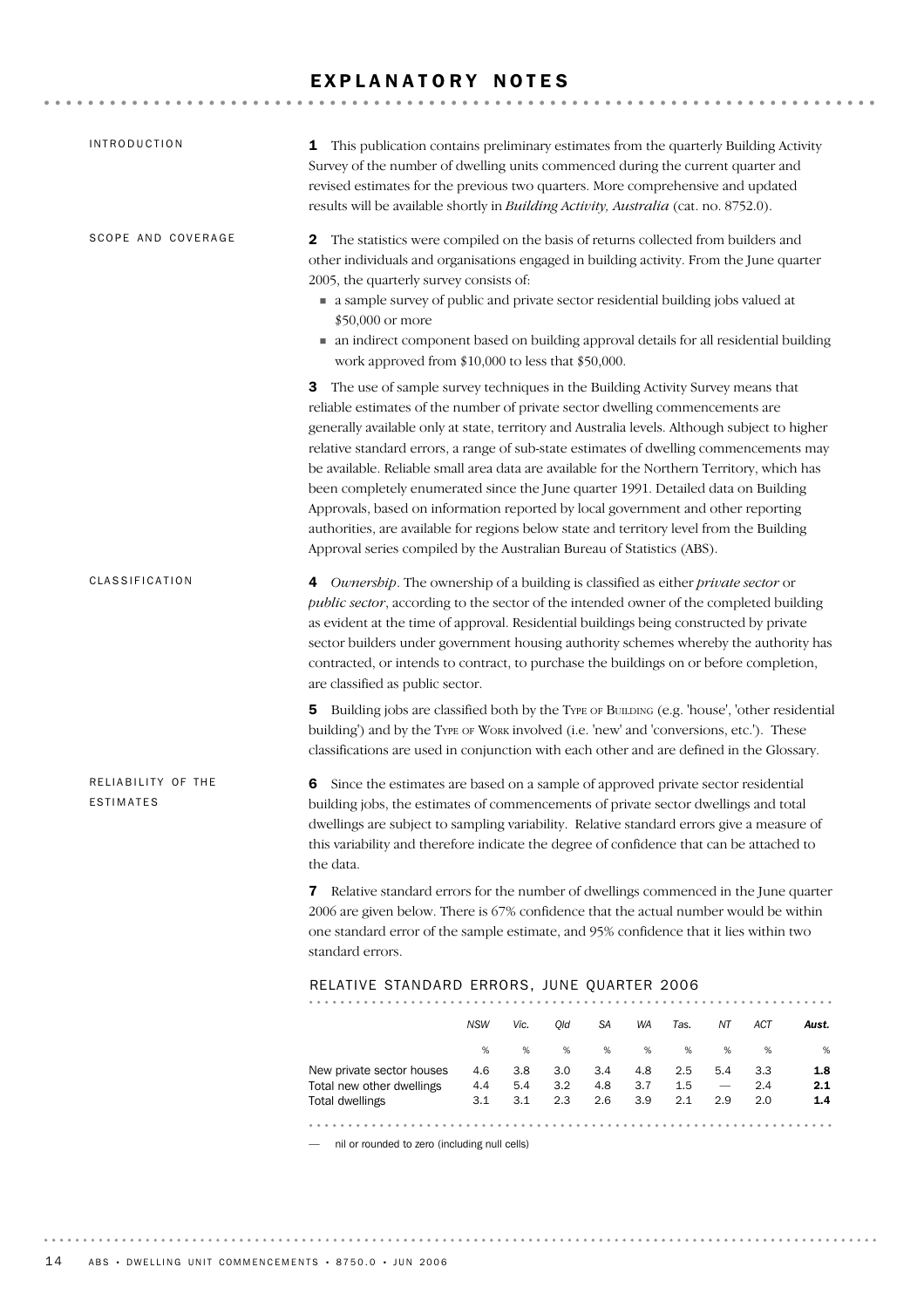#### EXPLANATORY NOTES

| <i><b>INTRODUCTION</b></i>      | 1 This publication contains preliminary estimates from the quarterly Building Activity<br>Survey of the number of dwelling units commenced during the current quarter and<br>revised estimates for the previous two quarters. More comprehensive and updated<br>results will be available shortly in Building Activity, Australia (cat. no. 8752.0).                                                                                                                                                                                                                                                                                                                                                                                                                                                         |            |            |            |            |            |            |                                 |            |            |
|---------------------------------|--------------------------------------------------------------------------------------------------------------------------------------------------------------------------------------------------------------------------------------------------------------------------------------------------------------------------------------------------------------------------------------------------------------------------------------------------------------------------------------------------------------------------------------------------------------------------------------------------------------------------------------------------------------------------------------------------------------------------------------------------------------------------------------------------------------|------------|------------|------------|------------|------------|------------|---------------------------------|------------|------------|
| SCOPE AND COVERAGE              | The statistics were compiled on the basis of returns collected from builders and<br>2<br>other individuals and organisations engaged in building activity. From the June quarter<br>2005, the quarterly survey consists of:<br>a sample survey of public and private sector residential building jobs valued at<br>\$50,000 or more<br>• an indirect component based on building approval details for all residential building<br>work approved from \$10,000 to less that \$50,000.                                                                                                                                                                                                                                                                                                                         |            |            |            |            |            |            |                                 |            |            |
|                                 | The use of sample survey techniques in the Building Activity Survey means that<br>3<br>reliable estimates of the number of private sector dwelling commencements are<br>generally available only at state, territory and Australia levels. Although subject to higher<br>relative standard errors, a range of sub-state estimates of dwelling commencements may<br>be available. Reliable small area data are available for the Northern Territory, which has<br>been completely enumerated since the June quarter 1991. Detailed data on Building<br>Approvals, based on information reported by local government and other reporting<br>authorities, are available for regions below state and territory level from the Building<br>Approval series compiled by the Australian Bureau of Statistics (ABS). |            |            |            |            |            |            |                                 |            |            |
| <b>CLASSIFICATION</b>           | 4 Ownership. The ownership of a building is classified as either private sector or<br>public sector, according to the sector of the intended owner of the completed building<br>as evident at the time of approval. Residential buildings being constructed by private<br>sector builders under government housing authority schemes whereby the authority has<br>contracted, or intends to contract, to purchase the buildings on or before completion,<br>are classified as public sector.                                                                                                                                                                                                                                                                                                                 |            |            |            |            |            |            |                                 |            |            |
|                                 | Building jobs are classified both by the TYPE OF BUILDING (e.g. 'house', 'other residential<br>5<br>building') and by the TYPE OF WORK involved (i.e. 'new' and 'conversions, etc.'). These<br>classifications are used in conjunction with each other and are defined in the Glossary.                                                                                                                                                                                                                                                                                                                                                                                                                                                                                                                      |            |            |            |            |            |            |                                 |            |            |
| RELIABILITY OF THE<br>ESTIMATES | Since the estimates are based on a sample of approved private sector residential<br>6<br>building jobs, the estimates of commencements of private sector dwellings and total<br>dwellings are subject to sampling variability. Relative standard errors give a measure of<br>this variability and therefore indicate the degree of confidence that can be attached to<br>the data.                                                                                                                                                                                                                                                                                                                                                                                                                           |            |            |            |            |            |            |                                 |            |            |
|                                 | Relative standard errors for the number of dwellings commenced in the June quarter<br>7<br>2006 are given below. There is 67% confidence that the actual number would be within<br>one standard error of the sample estimate, and 95% confidence that it lies within two<br>standard errors.                                                                                                                                                                                                                                                                                                                                                                                                                                                                                                                 |            |            |            |            |            |            |                                 |            |            |
|                                 |                                                                                                                                                                                                                                                                                                                                                                                                                                                                                                                                                                                                                                                                                                                                                                                                              |            |            |            |            |            |            |                                 |            |            |
|                                 | RELATIVE STANDARD ERRORS, JUNE QUARTER 2006                                                                                                                                                                                                                                                                                                                                                                                                                                                                                                                                                                                                                                                                                                                                                                  |            |            |            |            |            |            |                                 |            |            |
|                                 |                                                                                                                                                                                                                                                                                                                                                                                                                                                                                                                                                                                                                                                                                                                                                                                                              | <b>NSW</b> | Vic.       | Qld        | SA         | WA         | Tas.       | ΝT                              | ACT        | Aust.      |
|                                 |                                                                                                                                                                                                                                                                                                                                                                                                                                                                                                                                                                                                                                                                                                                                                                                                              | %          | %          | %          | %          | %          | %          | %                               | %          | %          |
|                                 | New private sector houses<br>Total new other dwellings                                                                                                                                                                                                                                                                                                                                                                                                                                                                                                                                                                                                                                                                                                                                                       | 4.6<br>4.4 | 3.8<br>5.4 | 3.0<br>3.2 | 3.4<br>4.8 | 4.8<br>3.7 | 2.5<br>1.5 | 5.4<br>$\overline{\phantom{0}}$ | 3.3<br>2.4 | 1.8<br>2.1 |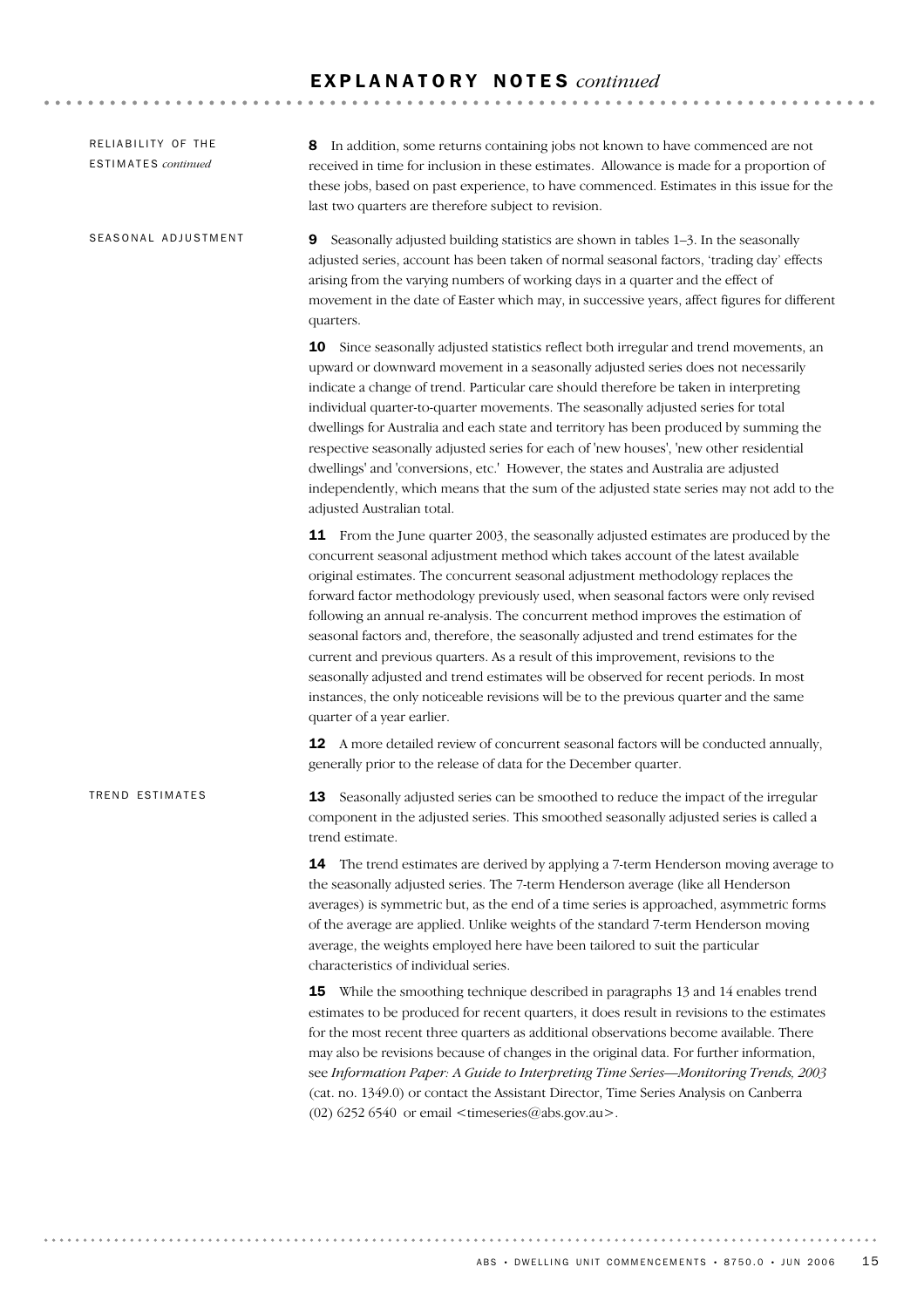#### E X P L A N A T O R Y N O T E S *continued*

| RELIABILITY OF THE<br><b>ESTIMATES</b> continued | <b>8</b> In addition, some returns containing jobs not known to have commenced are not<br>received in time for inclusion in these estimates. Allowance is made for a proportion of<br>these jobs, based on past experience, to have commenced. Estimates in this issue for the<br>last two quarters are therefore subject to revision.                                                                                                                                                                                                                                                                                                                                                                                                                                                                                                     |
|--------------------------------------------------|--------------------------------------------------------------------------------------------------------------------------------------------------------------------------------------------------------------------------------------------------------------------------------------------------------------------------------------------------------------------------------------------------------------------------------------------------------------------------------------------------------------------------------------------------------------------------------------------------------------------------------------------------------------------------------------------------------------------------------------------------------------------------------------------------------------------------------------------|
| SEASONAL ADJUSTMENT                              | Seasonally adjusted building statistics are shown in tables 1-3. In the seasonally<br>9<br>adjusted series, account has been taken of normal seasonal factors, 'trading day' effects<br>arising from the varying numbers of working days in a quarter and the effect of<br>movement in the date of Easter which may, in successive years, affect figures for different<br>quarters.                                                                                                                                                                                                                                                                                                                                                                                                                                                        |
|                                                  | 10 Since seasonally adjusted statistics reflect both irregular and trend movements, an<br>upward or downward movement in a seasonally adjusted series does not necessarily<br>indicate a change of trend. Particular care should therefore be taken in interpreting<br>individual quarter-to-quarter movements. The seasonally adjusted series for total<br>dwellings for Australia and each state and territory has been produced by summing the<br>respective seasonally adjusted series for each of 'new houses', 'new other residential<br>dwellings' and 'conversions, etc.' However, the states and Australia are adjusted<br>independently, which means that the sum of the adjusted state series may not add to the<br>adjusted Australian total.                                                                                  |
|                                                  | <b>11</b> From the June quarter 2003, the seasonally adjusted estimates are produced by the<br>concurrent seasonal adjustment method which takes account of the latest available<br>original estimates. The concurrent seasonal adjustment methodology replaces the<br>forward factor methodology previously used, when seasonal factors were only revised<br>following an annual re-analysis. The concurrent method improves the estimation of<br>seasonal factors and, therefore, the seasonally adjusted and trend estimates for the<br>current and previous quarters. As a result of this improvement, revisions to the<br>seasonally adjusted and trend estimates will be observed for recent periods. In most<br>instances, the only noticeable revisions will be to the previous quarter and the same<br>quarter of a year earlier. |
|                                                  | 12 A more detailed review of concurrent seasonal factors will be conducted annually,<br>generally prior to the release of data for the December quarter.                                                                                                                                                                                                                                                                                                                                                                                                                                                                                                                                                                                                                                                                                   |
| TREND ESTIMATES                                  | Seasonally adjusted series can be smoothed to reduce the impact of the irregular<br>13<br>component in the adjusted series. This smoothed seasonally adjusted series is called a<br>trend estimate.                                                                                                                                                                                                                                                                                                                                                                                                                                                                                                                                                                                                                                        |
|                                                  | <b>14</b> The trend estimates are derived by applying a 7-term Henderson moving average to<br>the seasonally adjusted series. The 7-term Henderson average (like all Henderson<br>averages) is symmetric but, as the end of a time series is approached, asymmetric forms<br>of the average are applied. Unlike weights of the standard 7-term Henderson moving<br>average, the weights employed here have been tailored to suit the particular<br>characteristics of individual series.                                                                                                                                                                                                                                                                                                                                                   |
|                                                  | <b>15</b> While the smoothing technique described in paragraphs 13 and 14 enables trend<br>estimates to be produced for recent quarters, it does result in revisions to the estimates<br>for the most recent three quarters as additional observations become available. There<br>may also be revisions because of changes in the original data. For further information,<br>see Information Paper: A Guide to Interpreting Time Series-Monitoring Trends, 2003<br>(cat. no. 1349.0) or contact the Assistant Director, Time Series Analysis on Canberra<br>$(02)$ 6252 6540 or email <timeseries@abs.gov.au>.</timeseries@abs.gov.au>                                                                                                                                                                                                     |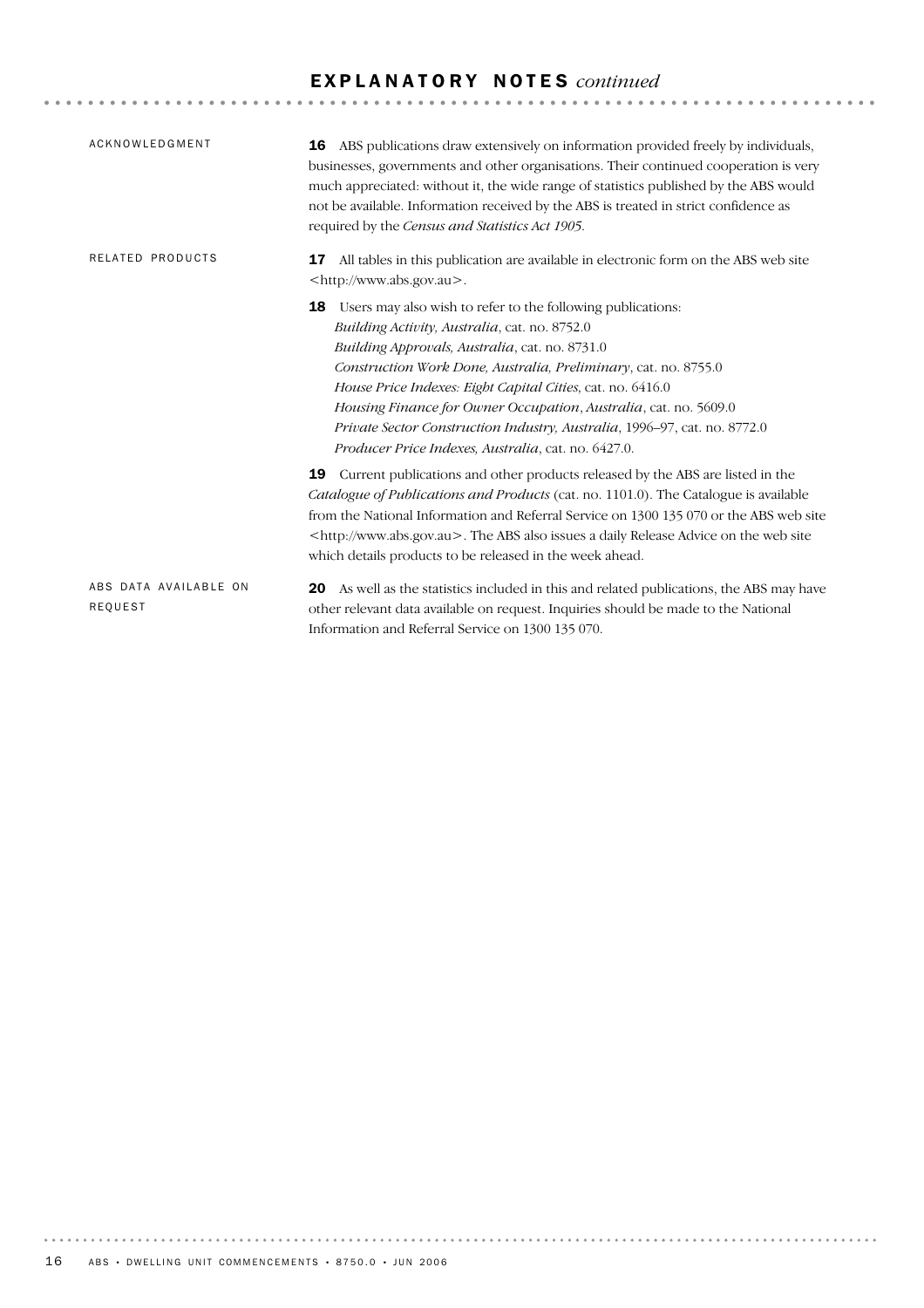# E X P L A N A T O R Y N O T E S *continued*

| ACKNOWLEDGMENT                   | <b>16</b> ABS publications draw extensively on information provided freely by individuals,<br>businesses, governments and other organisations. Their continued cooperation is very<br>much appreciated: without it, the wide range of statistics published by the ABS would<br>not be available. Information received by the ABS is treated in strict confidence as<br>required by the Census and Statistics Act 1905.                                                                                        |
|----------------------------------|---------------------------------------------------------------------------------------------------------------------------------------------------------------------------------------------------------------------------------------------------------------------------------------------------------------------------------------------------------------------------------------------------------------------------------------------------------------------------------------------------------------|
| RELATED PRODUCTS                 | All tables in this publication are available in electronic form on the ABS web site<br>17<br><http: www.abs.gov.au="">.</http:>                                                                                                                                                                                                                                                                                                                                                                               |
|                                  | Users may also wish to refer to the following publications:<br>18<br>Building Activity, Australia, cat. no. 8752.0<br>Building Approvals, Australia, cat. no. 8731.0<br>Construction Work Done, Australia, Preliminary, cat. no. 8755.0<br>House Price Indexes: Eight Capital Cities, cat. no. 6416.0<br>Housing Finance for Owner Occupation, Australia, cat. no. 5609.0<br>Private Sector Construction Industry, Australia, 1996-97, cat. no. 8772.0<br>Producer Price Indexes, Australia, cat. no. 6427.0. |
|                                  | Current publications and other products released by the ABS are listed in the<br>19<br>Catalogue of Publications and Products (cat. no. 1101.0). The Catalogue is available<br>from the National Information and Referral Service on 1300 135 070 or the ABS web site<br><http: www.abs.gov.au="">. The ABS also issues a daily Release Advice on the web site<br/>which details products to be released in the week ahead.</http:>                                                                           |
| ABS DATA AVAILABLE ON<br>REQUEST | As well as the statistics included in this and related publications, the ABS may have<br>20<br>other relevant data available on request. Inquiries should be made to the National<br>Information and Referral Service on 1300 135 070.                                                                                                                                                                                                                                                                        |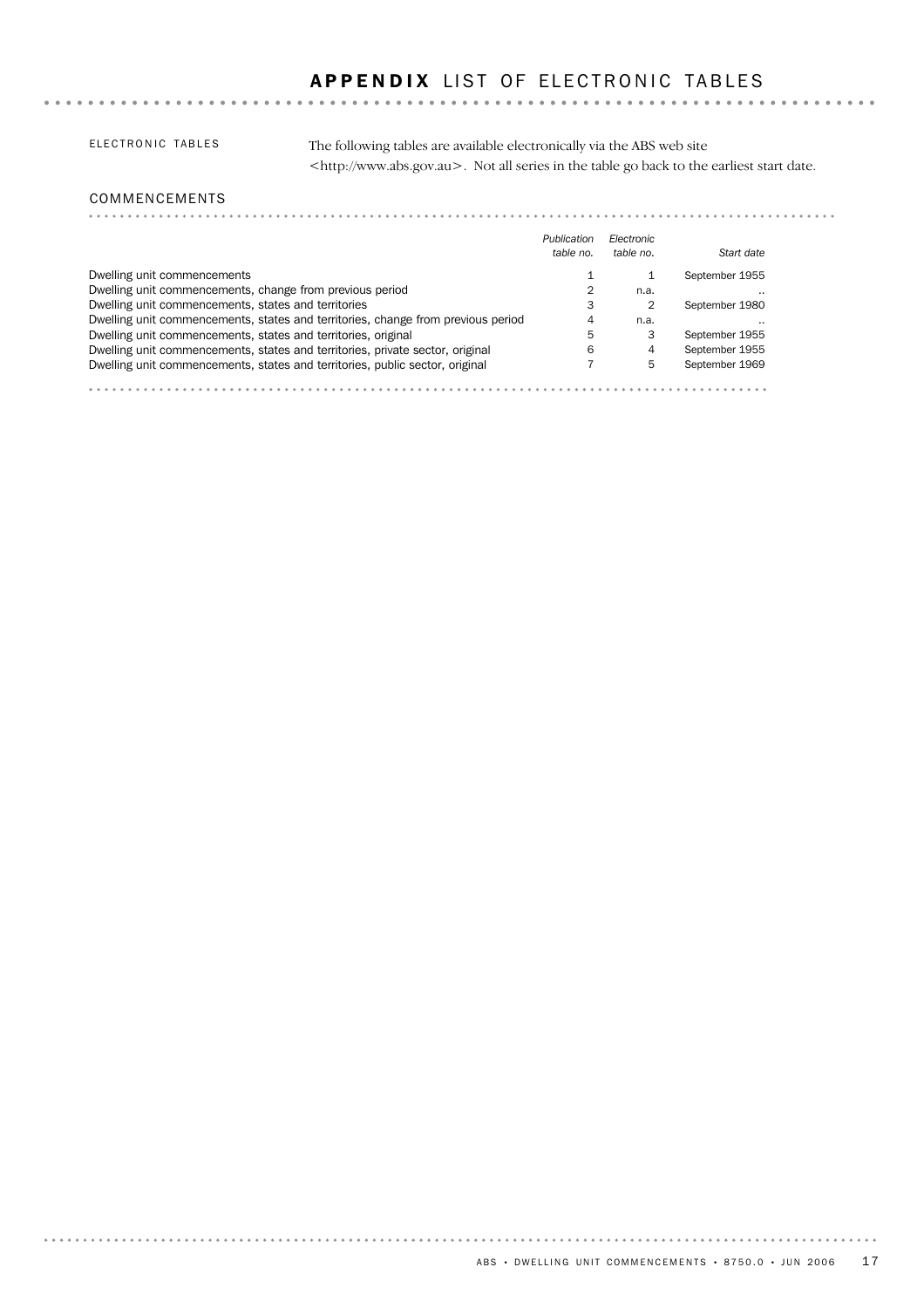## APPENDIX LIST OF ELECTRONIC TABLES

#### ELECTRONIC TABLES

The following tables are available electronically via the ABS web site <http://www.abs.gov.au>. Not all series in the table go back to the earliest start date.

#### COMMENCEMENTS

|                                                                                  | Publication<br>table no. | Electronic<br>table no. | Start date     |
|----------------------------------------------------------------------------------|--------------------------|-------------------------|----------------|
| Dwelling unit commencements                                                      |                          | 1                       | September 1955 |
| Dwelling unit commencements, change from previous period                         | 2                        | n.a.                    |                |
| Dwelling unit commencements, states and territories                              | 3                        | $\overline{2}$          | September 1980 |
| Dwelling unit commencements, states and territories, change from previous period | 4                        | n.a.                    |                |
| Dwelling unit commencements, states and territories, original                    | 5                        | 3                       | September 1955 |
| Dwelling unit commencements, states and territories, private sector, original    | 6                        | 4                       | September 1955 |
| Dwelling unit commencements, states and territories, public sector, original     |                          | 5                       | September 1969 |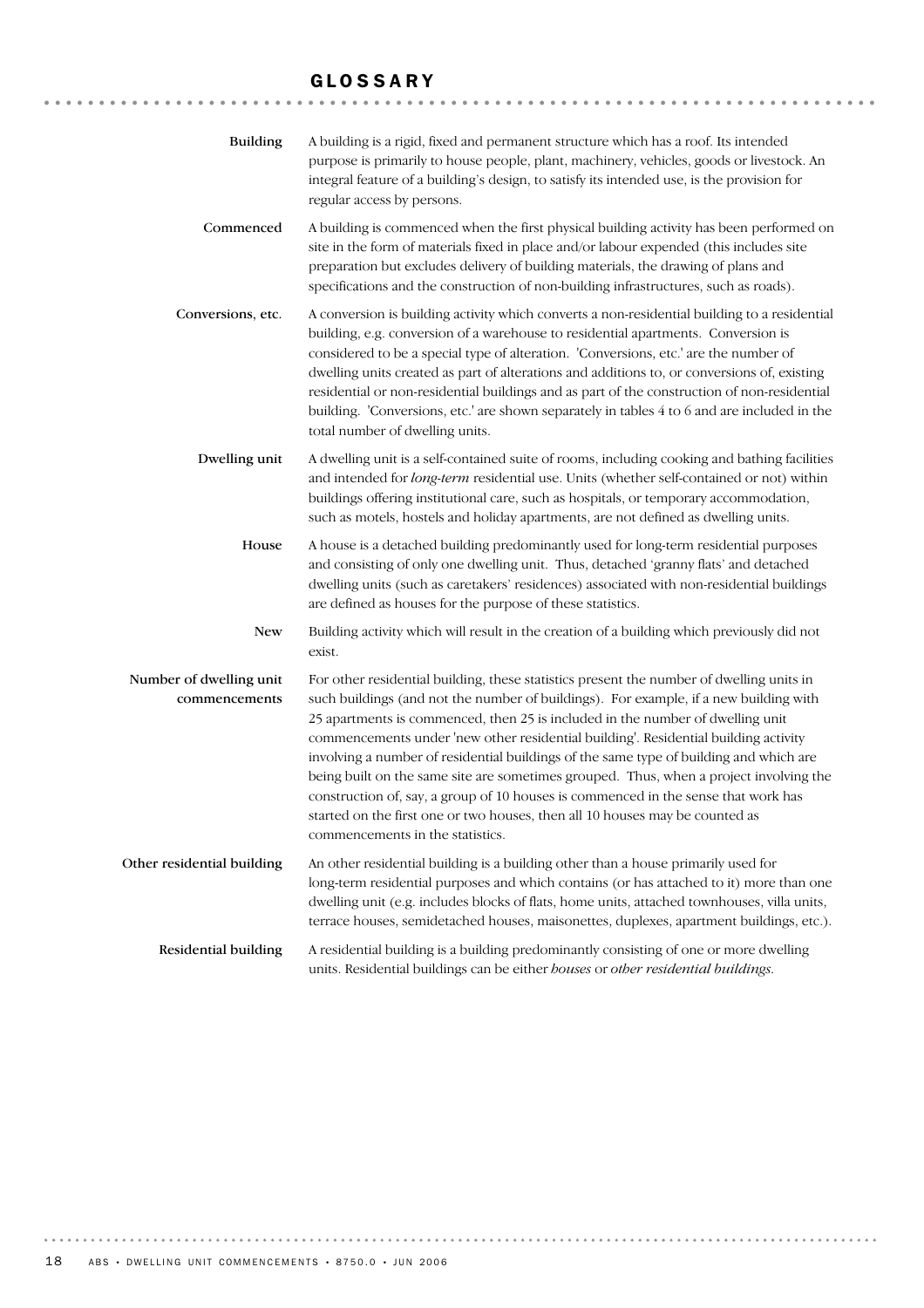## GLOSSARY

| <b>Building</b>                          | A building is a rigid, fixed and permanent structure which has a roof. Its intended<br>purpose is primarily to house people, plant, machinery, vehicles, goods or livestock. An<br>integral feature of a building's design, to satisfy its intended use, is the provision for<br>regular access by persons.                                                                                                                                                                                                                                                                                                                                                                                                                                              |
|------------------------------------------|----------------------------------------------------------------------------------------------------------------------------------------------------------------------------------------------------------------------------------------------------------------------------------------------------------------------------------------------------------------------------------------------------------------------------------------------------------------------------------------------------------------------------------------------------------------------------------------------------------------------------------------------------------------------------------------------------------------------------------------------------------|
| Commenced                                | A building is commenced when the first physical building activity has been performed on<br>site in the form of materials fixed in place and/or labour expended (this includes site<br>preparation but excludes delivery of building materials, the drawing of plans and<br>specifications and the construction of non-building infrastructures, such as roads).                                                                                                                                                                                                                                                                                                                                                                                          |
| Conversions, etc.                        | A conversion is building activity which converts a non-residential building to a residential<br>building, e.g. conversion of a warehouse to residential apartments. Conversion is<br>considered to be a special type of alteration. 'Conversions, etc.' are the number of<br>dwelling units created as part of alterations and additions to, or conversions of, existing<br>residential or non-residential buildings and as part of the construction of non-residential<br>building. 'Conversions, etc.' are shown separately in tables 4 to 6 and are included in the<br>total number of dwelling units.                                                                                                                                                |
| Dwelling unit                            | A dwelling unit is a self-contained suite of rooms, including cooking and bathing facilities<br>and intended for long-term residential use. Units (whether self-contained or not) within<br>buildings offering institutional care, such as hospitals, or temporary accommodation,<br>such as motels, hostels and holiday apartments, are not defined as dwelling units.                                                                                                                                                                                                                                                                                                                                                                                  |
| House                                    | A house is a detached building predominantly used for long-term residential purposes<br>and consisting of only one dwelling unit. Thus, detached 'granny flats' and detached<br>dwelling units (such as caretakers' residences) associated with non-residential buildings<br>are defined as houses for the purpose of these statistics.                                                                                                                                                                                                                                                                                                                                                                                                                  |
| <b>New</b>                               | Building activity which will result in the creation of a building which previously did not<br>exist.                                                                                                                                                                                                                                                                                                                                                                                                                                                                                                                                                                                                                                                     |
| Number of dwelling unit<br>commencements | For other residential building, these statistics present the number of dwelling units in<br>such buildings (and not the number of buildings). For example, if a new building with<br>25 apartments is commenced, then 25 is included in the number of dwelling unit<br>commencements under 'new other residential building'. Residential building activity<br>involving a number of residential buildings of the same type of building and which are<br>being built on the same site are sometimes grouped. Thus, when a project involving the<br>construction of, say, a group of 10 houses is commenced in the sense that work has<br>started on the first one or two houses, then all 10 houses may be counted as<br>commencements in the statistics. |
| Other residential building               | An other residential building is a building other than a house primarily used for<br>long-term residential purposes and which contains (or has attached to it) more than one<br>dwelling unit (e.g. includes blocks of flats, home units, attached townhouses, villa units,<br>terrace houses, semidetached houses, maisonettes, duplexes, apartment buildings, etc.).                                                                                                                                                                                                                                                                                                                                                                                   |
| Residential building                     | A residential building is a building predominantly consisting of one or more dwelling<br>units. Residential buildings can be either houses or other residential buildings.                                                                                                                                                                                                                                                                                                                                                                                                                                                                                                                                                                               |